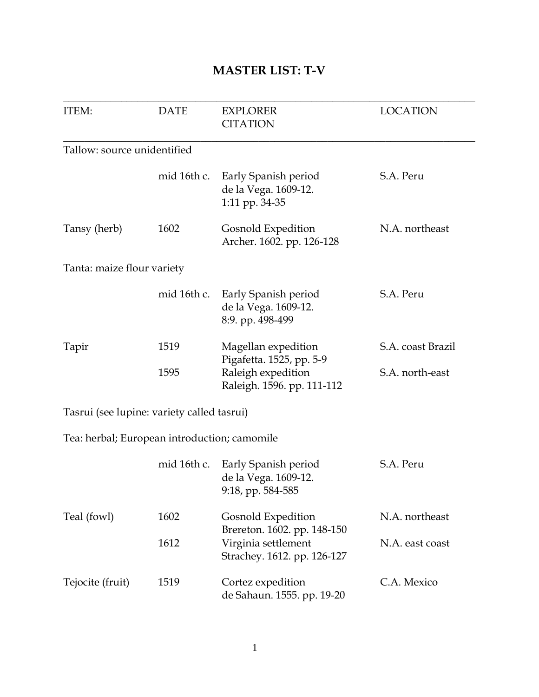## **MASTER LIST: T-V**

| <b>ITEM:</b>                                 | <b>DATE</b>  | <b>EXPLORER</b><br><b>CITATION</b>                                                                  | <b>LOCATION</b>                      |
|----------------------------------------------|--------------|-----------------------------------------------------------------------------------------------------|--------------------------------------|
| Tallow: source unidentified                  |              |                                                                                                     |                                      |
|                                              | mid 16th c.  | Early Spanish period<br>de la Vega. 1609-12.<br>1:11 pp. 34-35                                      | S.A. Peru                            |
| Tansy (herb)                                 | 1602         | Gosnold Expedition<br>Archer. 1602. pp. 126-128                                                     | N.A. northeast                       |
| Tanta: maize flour variety                   |              |                                                                                                     |                                      |
|                                              | mid 16th c.  | Early Spanish period<br>de la Vega. 1609-12.<br>8:9. pp. 498-499                                    | S.A. Peru                            |
| Tapir                                        | 1519<br>1595 | Magellan expedition<br>Pigafetta. 1525, pp. 5-9<br>Raleigh expedition<br>Raleigh. 1596. pp. 111-112 | S.A. coast Brazil<br>S.A. north-east |
| Tasrui (see lupine: variety called tasrui)   |              |                                                                                                     |                                      |
| Tea: herbal; European introduction; camomile |              |                                                                                                     |                                      |
|                                              | mid 16th c.  | Early Spanish period<br>de la Vega. 1609-12.<br>9:18, pp. 584-585                                   | S.A. Peru                            |
| Teal (fowl)                                  | 1602         | Gosnold Expedition                                                                                  | N.A. northeast                       |
|                                              | 1612         | Brereton. 1602. pp. 148-150<br>Virginia settlement<br>Strachey. 1612. pp. 126-127                   | N.A. east coast                      |
| Tejocite (fruit)                             | 1519         | Cortez expedition<br>de Sahaun. 1555. pp. 19-20                                                     | C.A. Mexico                          |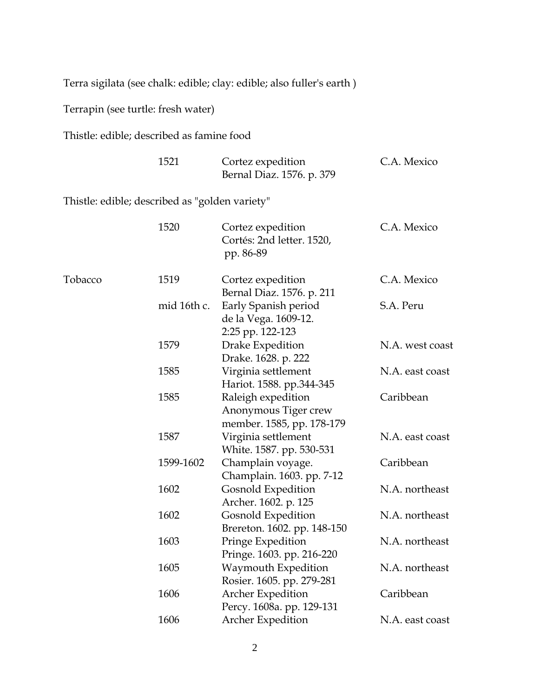Terra sigilata (see chalk: edible; clay: edible; also fuller's earth )

Terrapin (see turtle: fresh water)

Thistle: edible; described as famine food

|         | 1521                                           | Cortez expedition<br>Bernal Diaz. 1576. p. 379                          | C.A. Mexico     |
|---------|------------------------------------------------|-------------------------------------------------------------------------|-----------------|
|         | Thistle: edible; described as "golden variety" |                                                                         |                 |
|         | 1520                                           | Cortez expedition<br>Cortés: 2nd letter. 1520,<br>pp. 86-89             | C.A. Mexico     |
| Tobacco | 1519                                           | Cortez expedition<br>Bernal Diaz. 1576. p. 211                          | C.A. Mexico     |
|         | mid 16th c.                                    | Early Spanish period<br>de la Vega. 1609-12.<br>2:25 pp. 122-123        | S.A. Peru       |
|         | 1579                                           | Drake Expedition<br>Drake. 1628. p. 222                                 | N.A. west coast |
|         | 1585                                           | Virginia settlement<br>Hariot. 1588. pp.344-345                         | N.A. east coast |
|         | 1585                                           | Raleigh expedition<br>Anonymous Tiger crew<br>member. 1585, pp. 178-179 | Caribbean       |
|         | 1587                                           | Virginia settlement<br>White. 1587. pp. 530-531                         | N.A. east coast |
|         | 1599-1602                                      | Champlain voyage.<br>Champlain. 1603. pp. 7-12                          | Caribbean       |
|         | 1602                                           | Gosnold Expedition<br>Archer. 1602. p. 125                              | N.A. northeast  |
|         | 1602                                           | <b>Gosnold Expedition</b><br>Brereton. 1602. pp. 148-150                | N.A. northeast  |
|         | 1603                                           | Pringe Expedition<br>Pringe. 1603. pp. 216-220                          | N.A. northeast  |
|         | 1605                                           | Waymouth Expedition<br>Rosier. 1605. pp. 279-281                        | N.A. northeast  |
|         | 1606                                           | <b>Archer Expedition</b><br>Percy. 1608a. pp. 129-131                   | Caribbean       |
|         | 1606                                           | Archer Expedition                                                       | N.A. east coast |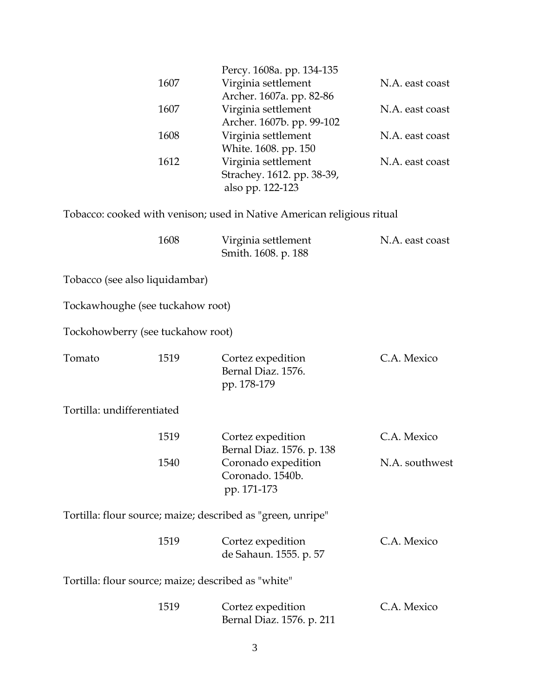|                                                     |      | Percy. 1608a. pp. 134-135                                              |                 |
|-----------------------------------------------------|------|------------------------------------------------------------------------|-----------------|
|                                                     | 1607 | Virginia settlement                                                    | N.A. east coast |
|                                                     |      | Archer. 1607a. pp. 82-86                                               |                 |
|                                                     | 1607 | Virginia settlement                                                    | N.A. east coast |
|                                                     |      | Archer. 1607b. pp. 99-102                                              |                 |
|                                                     | 1608 | Virginia settlement                                                    | N.A. east coast |
|                                                     | 1612 | White. 1608. pp. 150<br>Virginia settlement                            | N.A. east coast |
|                                                     |      | Strachey. 1612. pp. 38-39,                                             |                 |
|                                                     |      | also pp. 122-123                                                       |                 |
|                                                     |      |                                                                        |                 |
|                                                     |      | Tobacco: cooked with venison; used in Native American religious ritual |                 |
|                                                     | 1608 | Virginia settlement                                                    | N.A. east coast |
|                                                     |      | Smith. 1608. p. 188                                                    |                 |
|                                                     |      |                                                                        |                 |
| Tobacco (see also liquidambar)                      |      |                                                                        |                 |
|                                                     |      |                                                                        |                 |
| Tockawhoughe (see tuckahow root)                    |      |                                                                        |                 |
| Tockohowberry (see tuckahow root)                   |      |                                                                        |                 |
| Tomato                                              | 1519 | Cortez expedition                                                      | C.A. Mexico     |
|                                                     |      | Bernal Diaz. 1576.                                                     |                 |
|                                                     |      | pp. 178-179                                                            |                 |
| Tortilla: undifferentiated                          |      |                                                                        |                 |
|                                                     |      |                                                                        |                 |
|                                                     | 1519 | Cortez expedition                                                      | C.A. Mexico     |
|                                                     |      | Bernal Diaz. 1576. p. 138                                              |                 |
|                                                     | 1540 | Coronado expedition                                                    | N.A. southwest  |
|                                                     |      | Coronado. 1540b.                                                       |                 |
|                                                     |      | pp. 171-173                                                            |                 |
|                                                     |      | Tortilla: flour source; maize; described as "green, unripe"            |                 |
|                                                     |      |                                                                        |                 |
|                                                     | 1519 | Cortez expedition                                                      | C.A. Mexico     |
|                                                     |      | de Sahaun. 1555. p. 57                                                 |                 |
|                                                     |      |                                                                        |                 |
| Tortilla: flour source; maize; described as "white" |      |                                                                        |                 |
|                                                     | 1519 | Cortez expedition                                                      | C.A. Mexico     |
|                                                     |      | Bernal Diaz. 1576. p. 211                                              |                 |
|                                                     |      |                                                                        |                 |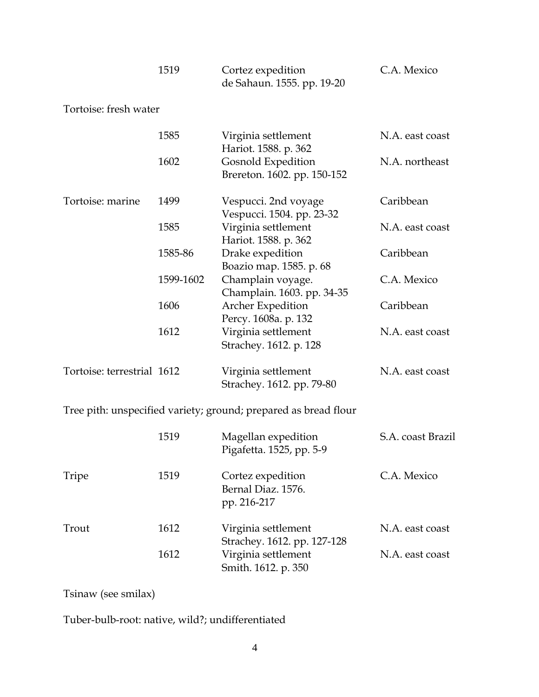|                            | 1519      | Cortez expedition<br>de Sahaun. 1555. pp. 19-20                       | C.A. Mexico       |
|----------------------------|-----------|-----------------------------------------------------------------------|-------------------|
| Tortoise: fresh water      |           |                                                                       |                   |
|                            | 1585      | Virginia settlement<br>Hariot. 1588. p. 362                           | N.A. east coast   |
|                            | 1602      | <b>Gosnold Expedition</b><br>Brereton. 1602. pp. 150-152              | N.A. northeast    |
| Tortoise: marine           | 1499      | Vespucci. 2nd voyage<br>Vespucci. 1504. pp. 23-32                     | Caribbean         |
|                            | 1585      | Virginia settlement<br>Hariot. 1588. p. 362                           | N.A. east coast   |
|                            | 1585-86   | Drake expedition<br>Boazio map. 1585. p. 68                           | Caribbean         |
|                            | 1599-1602 | Champlain voyage.<br>Champlain. 1603. pp. 34-35                       | C.A. Mexico       |
|                            | 1606      | Archer Expedition                                                     | Caribbean         |
|                            | 1612      | Percy. 1608a. p. 132<br>Virginia settlement<br>Strachey. 1612. p. 128 | N.A. east coast   |
| Tortoise: terrestrial 1612 |           | Virginia settlement<br>Strachey. 1612. pp. 79-80                      | N.A. east coast   |
|                            |           | Tree pith: unspecified variety; ground; prepared as bread flour       |                   |
|                            | 1519      | Magellan expedition<br>Pigafetta. 1525, pp. 5-9                       | S.A. coast Brazil |
| Tripe                      | 1519      | Cortez expedition<br>Bernal Diaz. 1576.<br>pp. 216-217                | C.A. Mexico       |
| Trout                      | 1612      | Virginia settlement<br>Strachey. 1612. pp. 127-128                    | N.A. east coast   |
|                            | 1612      | Virginia settlement                                                   | N.A. east coast   |

Tsinaw (see smilax)

Tuber-bulb-root: native, wild?; undifferentiated

Smith. 1612. p. 350

Virginia settlement N.A. east coast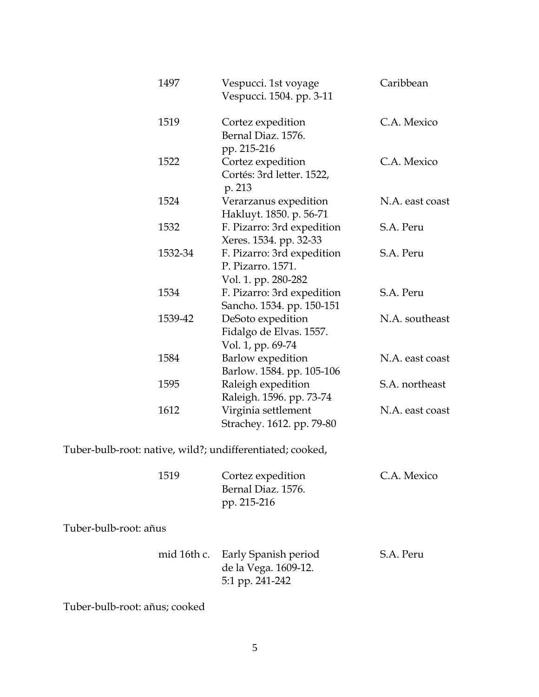| 1497    | Vespucci. 1st voyage<br>Vespucci. 1504. pp. 3-11                       | Caribbean       |
|---------|------------------------------------------------------------------------|-----------------|
| 1519    | Cortez expedition<br>Bernal Diaz. 1576.                                | C.A. Mexico     |
|         | pp. 215-216                                                            |                 |
| 1522    | Cortez expedition<br>Cortés: 3rd letter. 1522,<br>p. 213               | C.A. Mexico     |
| 1524    | Verarzanus expedition<br>Hakluyt. 1850. p. 56-71                       | N.A. east coast |
| 1532    | F. Pizarro: 3rd expedition<br>Xeres. 1534. pp. 32-33                   | S.A. Peru       |
| 1532-34 | F. Pizarro: 3rd expedition<br>P. Pizarro. 1571.<br>Vol. 1. pp. 280-282 | S.A. Peru       |
| 1534    | F. Pizarro: 3rd expedition<br>Sancho. 1534. pp. 150-151                | S.A. Peru       |
| 1539-42 | DeSoto expedition<br>Fidalgo de Elvas. 1557.<br>Vol. 1, pp. 69-74      | N.A. southeast  |
| 1584    | <b>Barlow</b> expedition<br>Barlow. 1584. pp. 105-106                  | N.A. east coast |
| 1595    | Raleigh expedition<br>Raleigh. 1596. pp. 73-74                         | S.A. northeast  |
| 1612    | Virginia settlement<br>Strachey. 1612. pp. 79-80                       | N.A. east coast |

Tuber-bulb-root: native, wild?; undifferentiated; cooked,

| 1519 | Cortez expedition  | C.A. Mexico |
|------|--------------------|-------------|
|      | Bernal Diaz. 1576. |             |
|      | pp. 215-216        |             |

Tuber-bulb-root: añus

|  | mid 16th c. Early Spanish period | S.A. Peru |
|--|----------------------------------|-----------|
|  | de la Vega. 1609-12.             |           |
|  | 5:1 pp. 241-242                  |           |

Tuber-bulb-root: añus; cooked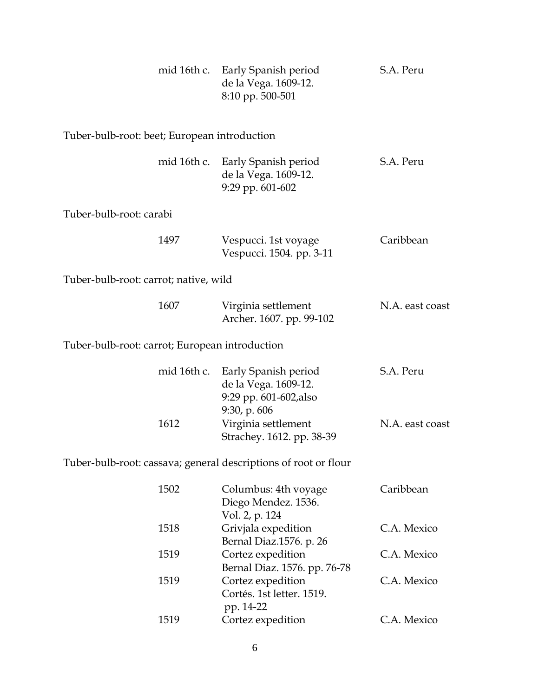|                                                | mid 16th c. | Early Spanish period<br>de la Vega. 1609-12.<br>8:10 pp. 500-501       | S.A. Peru       |
|------------------------------------------------|-------------|------------------------------------------------------------------------|-----------------|
| Tuber-bulb-root: beet; European introduction   |             |                                                                        |                 |
|                                                | mid 16th c. | Early Spanish period<br>de la Vega. 1609-12.<br>9:29 pp. 601-602       | S.A. Peru       |
| Tuber-bulb-root: carabi                        |             |                                                                        |                 |
|                                                | 1497        | Vespucci. 1st voyage<br>Vespucci. 1504. pp. 3-11                       | Caribbean       |
| Tuber-bulb-root: carrot; native, wild          |             |                                                                        |                 |
|                                                | 1607        | Virginia settlement<br>Archer. 1607. pp. 99-102                        | N.A. east coast |
| Tuber-bulb-root: carrot; European introduction |             |                                                                        |                 |
|                                                | mid 16th c. | Early Spanish period<br>de la Vega. 1609-12.<br>9:29 pp. 601-602, also | S.A. Peru       |
|                                                | 1612        | 9:30, p. 606<br>Virginia settlement<br>Strachey. 1612. pp. 38-39       | N.A. east coast |
|                                                |             | Tuber-bulb-root: cassava; general descriptions of root or flour        |                 |
|                                                | 1502        | Columbus: 4th voyage<br>Diego Mendez. 1536.<br>Vol. 2, p. 124          | Caribbean       |
|                                                | 1518        | Grivjala expedition<br>Bernal Diaz.1576. p. 26                         | C.A. Mexico     |
|                                                | 1519        | Cortez expedition<br>Bernal Diaz. 1576. pp. 76-78                      | C.A. Mexico     |
|                                                | 1519        | Cortez expedition<br>Cortés. 1st letter. 1519.<br>pp. 14-22            | C.A. Mexico     |
|                                                | 1519        | Cortez expedition                                                      | C.A. Mexico     |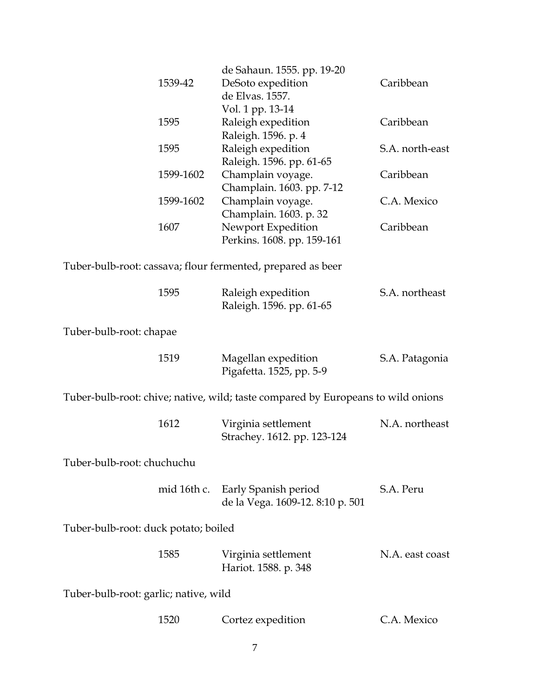|                                       |             | de Sahaun. 1555. pp. 19-20                                                       |                 |
|---------------------------------------|-------------|----------------------------------------------------------------------------------|-----------------|
|                                       | 1539-42     | DeSoto expedition                                                                | Caribbean       |
|                                       |             | de Elvas. 1557.                                                                  |                 |
|                                       |             | Vol. 1 pp. 13-14                                                                 |                 |
|                                       | 1595        | Raleigh expedition                                                               | Caribbean       |
|                                       |             | Raleigh. 1596. p. 4                                                              |                 |
|                                       | 1595        | Raleigh expedition                                                               | S.A. north-east |
|                                       |             | Raleigh. 1596. pp. 61-65                                                         |                 |
|                                       | 1599-1602   | Champlain voyage.                                                                | Caribbean       |
|                                       |             | Champlain. 1603. pp. 7-12                                                        |                 |
|                                       | 1599-1602   | Champlain voyage.                                                                | C.A. Mexico     |
|                                       |             | Champlain. 1603. p. 32                                                           |                 |
|                                       | 1607        | Newport Expedition                                                               | Caribbean       |
|                                       |             | Perkins. 1608. pp. 159-161                                                       |                 |
|                                       |             |                                                                                  |                 |
|                                       |             | Tuber-bulb-root: cassava; flour fermented, prepared as beer                      |                 |
|                                       |             |                                                                                  |                 |
|                                       | 1595        | Raleigh expedition                                                               | S.A. northeast  |
|                                       |             | Raleigh. 1596. pp. 61-65                                                         |                 |
|                                       |             |                                                                                  |                 |
| Tuber-bulb-root: chapae               |             |                                                                                  |                 |
|                                       |             |                                                                                  |                 |
|                                       | 1519        | Magellan expedition                                                              | S.A. Patagonia  |
|                                       |             | Pigafetta. 1525, pp. 5-9                                                         |                 |
|                                       |             |                                                                                  |                 |
|                                       |             | Tuber-bulb-root: chive; native, wild; taste compared by Europeans to wild onions |                 |
|                                       |             |                                                                                  |                 |
|                                       | 1612        | Virginia settlement                                                              | N.A. northeast  |
|                                       |             | Strachey. 1612. pp. 123-124                                                      |                 |
|                                       |             |                                                                                  |                 |
| Tuber-bulb-root: chuchuchu            |             |                                                                                  |                 |
|                                       |             |                                                                                  |                 |
|                                       | mid 16th c. | Early Spanish period                                                             | S.A. Peru       |
|                                       |             | de la Vega. 1609-12. 8:10 p. 501                                                 |                 |
|                                       |             |                                                                                  |                 |
| Tuber-bulb-root: duck potato; boiled  |             |                                                                                  |                 |
|                                       |             |                                                                                  |                 |
|                                       | 1585        | Virginia settlement                                                              | N.A. east coast |
|                                       |             | Hariot. 1588. p. 348                                                             |                 |
|                                       |             |                                                                                  |                 |
| Tuber-bulb-root: garlic; native, wild |             |                                                                                  |                 |
|                                       |             |                                                                                  |                 |
|                                       | 1520        | Cortez expedition                                                                | C.A. Mexico     |
|                                       |             |                                                                                  |                 |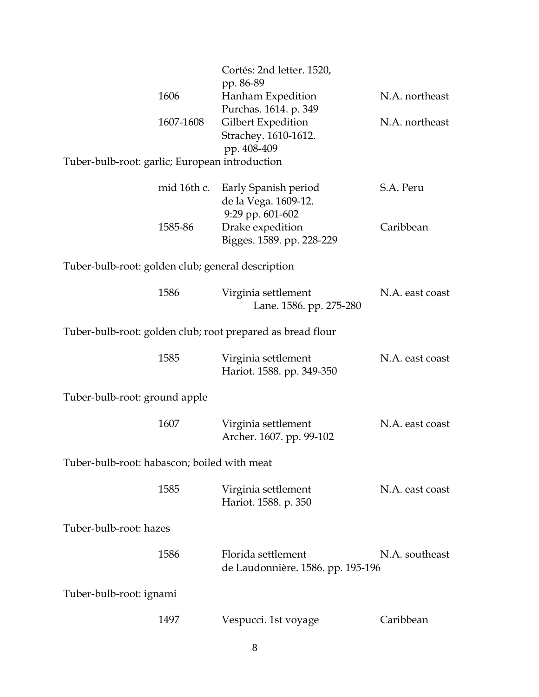|                                                   |           | Cortés: 2nd letter. 1520,<br>pp. 86-89                                       |                 |
|---------------------------------------------------|-----------|------------------------------------------------------------------------------|-----------------|
|                                                   | 1606      | Hanham Expedition<br>Purchas. 1614. p. 349                                   | N.A. northeast  |
|                                                   | 1607-1608 | Gilbert Expedition<br>Strachey. 1610-1612.<br>pp. 408-409                    | N.A. northeast  |
| Tuber-bulb-root: garlic; European introduction    |           |                                                                              |                 |
|                                                   |           | mid 16th c. Early Spanish period<br>de la Vega. 1609-12.<br>9:29 pp. 601-602 | S.A. Peru       |
|                                                   | 1585-86   | Drake expedition<br>Bigges. 1589. pp. 228-229                                | Caribbean       |
| Tuber-bulb-root: golden club; general description |           |                                                                              |                 |
|                                                   | 1586      | Virginia settlement<br>Lane. 1586. pp. 275-280                               | N.A. east coast |
|                                                   |           | Tuber-bulb-root: golden club; root prepared as bread flour                   |                 |
|                                                   | 1585      | Virginia settlement<br>Hariot. 1588. pp. 349-350                             | N.A. east coast |
| Tuber-bulb-root: ground apple                     |           |                                                                              |                 |
|                                                   | 1607      | Virginia settlement<br>Archer. 1607. pp. 99-102                              | N.A. east coast |
| Tuber-bulb-root: habascon; boiled with meat       |           |                                                                              |                 |
|                                                   | 1585      | Virginia settlement<br>Hariot. 1588. p. 350                                  | N.A. east coast |
| Tuber-bulb-root: hazes                            |           |                                                                              |                 |
|                                                   | 1586      | Florida settlement<br>de Laudonnière. 1586. pp. 195-196                      | N.A. southeast  |
| Tuber-bulb-root: ignami                           |           |                                                                              |                 |
|                                                   | 1497      | Vespucci. 1st voyage                                                         | Caribbean       |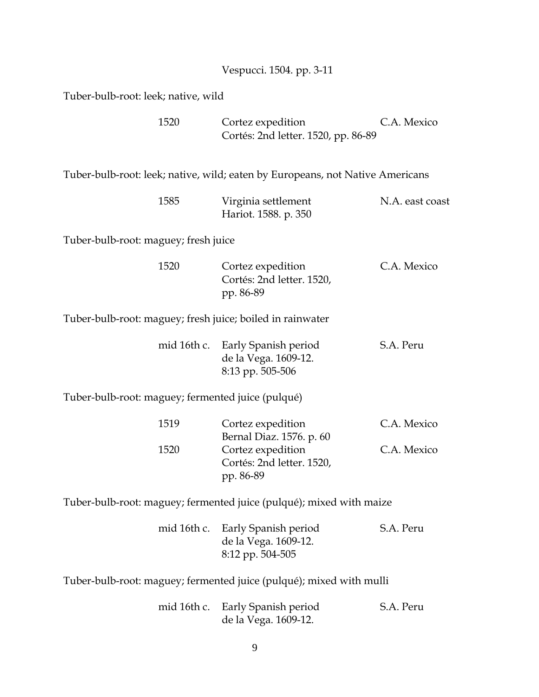|                                                           | Vespucci. 1504. pp. 3-11                                                                |                 |
|-----------------------------------------------------------|-----------------------------------------------------------------------------------------|-----------------|
| Tuber-bulb-root: leek; native, wild                       |                                                                                         |                 |
| 1520                                                      | Cortez expedition<br>Cortés: 2nd letter. 1520, pp. 86-89                                | C.A. Mexico     |
|                                                           | Tuber-bulb-root: leek; native, wild; eaten by Europeans, not Native Americans           |                 |
| 1585                                                      | Virginia settlement<br>Hariot. 1588. p. 350                                             | N.A. east coast |
| Tuber-bulb-root: maguey; fresh juice                      |                                                                                         |                 |
| 1520                                                      | Cortez expedition<br>Cortés: 2nd letter. 1520,<br>pp. 86-89                             | C.A. Mexico     |
| Tuber-bulb-root: maguey; fresh juice; boiled in rainwater |                                                                                         |                 |
|                                                           | mid 16th c. Early Spanish period<br>de la Vega. 1609-12.<br>8:13 pp. 505-506            | S.A. Peru       |
| Tuber-bulb-root: maguey; fermented juice (pulqué)         |                                                                                         |                 |
| 1519                                                      | Cortez expedition                                                                       | C.A. Mexico     |
| 1520                                                      | Bernal Diaz. 1576. p. 60<br>Cortez expedition<br>Cortés: 2nd letter. 1520,<br>pp. 86-89 | C.A. Mexico     |
|                                                           | Tuber-bulb-root: maguey; fermented juice (pulqué); mixed with maize                     |                 |
| mid 16th c.                                               | Early Spanish period<br>de la Vega. 1609-12.<br>8:12 pp. 504-505                        | S.A. Peru       |

Tuber-bulb-root: maguey; fermented juice (pulqué); mixed with mulli

|  | mid 16th c. Early Spanish period | S.A. Peru |
|--|----------------------------------|-----------|
|  | de la Vega. 1609-12.             |           |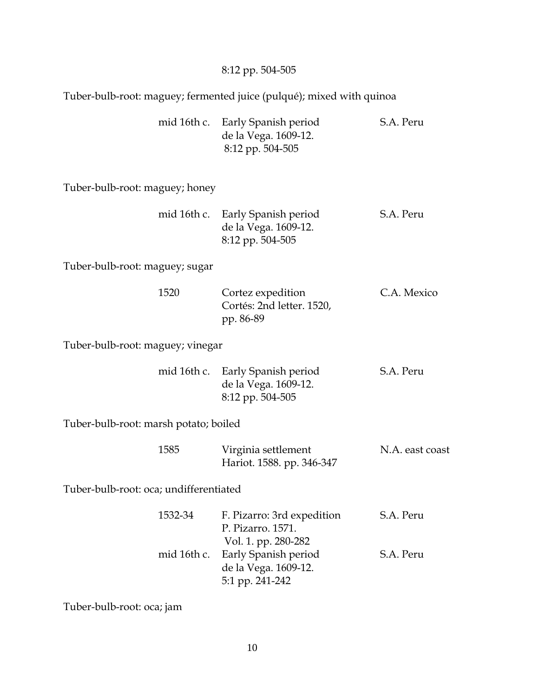## 8:12 pp. 504-505

Tuber-bulb-root: maguey; fermented juice (pulqué); mixed with quinoa

|  | mid 16th c. Early Spanish period | S.A. Peru |
|--|----------------------------------|-----------|
|  | de la Vega. 1609-12.             |           |
|  | 8:12 pp. 504-505                 |           |

Tuber-bulb-root: maguey; honey

|  | mid 16th c. Early Spanish period | S.A. Peru |
|--|----------------------------------|-----------|
|  | de la Vega. 1609-12.             |           |
|  | 8:12 pp. 504-505                 |           |

Tuber-bulb-root: maguey; sugar

| 1520 | Cortez expedition         | C.A. Mexico |
|------|---------------------------|-------------|
|      | Cortés: 2nd letter. 1520, |             |
|      | pp. 86-89                 |             |

Tuber-bulb-root: maguey; vinegar

|  | mid 16th c. Early Spanish period | S.A. Peru |
|--|----------------------------------|-----------|
|  | de la Vega. 1609-12.             |           |
|  | 8:12 pp. 504-505                 |           |

Tuber-bulb-root: marsh potato; boiled

| 1585 | Virginia settlement | N.A. east coast           |  |
|------|---------------------|---------------------------|--|
|      |                     | Hariot. 1588. pp. 346-347 |  |

Tuber-bulb-root: oca; undifferentiated

| 1532-34 | F. Pizarro: 3rd expedition       | S.A. Peru |
|---------|----------------------------------|-----------|
|         | P. Pizarro. 1571.                |           |
|         | Vol. 1. pp. 280-282              |           |
|         | mid 16th c. Early Spanish period | S.A. Peru |
|         | de la Vega. 1609-12.             |           |
|         | 5:1 pp. 241-242                  |           |

Tuber-bulb-root: oca; jam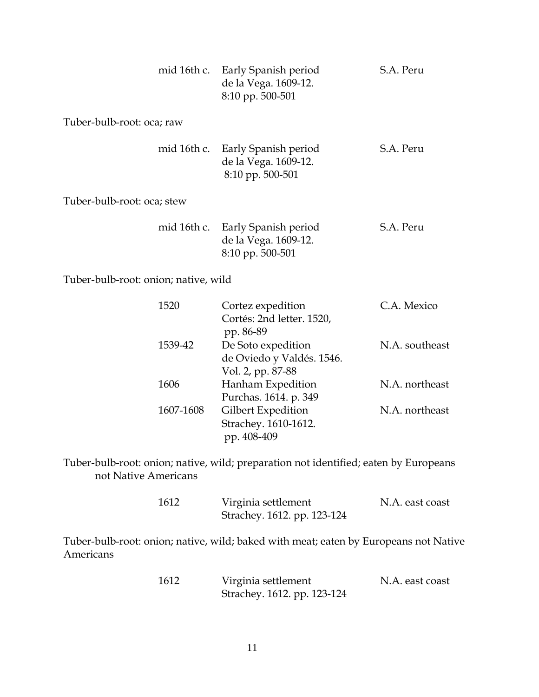| mid 16th c.                | Early Spanish period<br>de la Vega. 1609-12.<br>8:10 pp. 500-501             | S.A. Peru |
|----------------------------|------------------------------------------------------------------------------|-----------|
| Tuber-bulb-root: oca; raw  |                                                                              |           |
|                            | mid 16th c. Early Spanish period<br>de la Vega. 1609-12.<br>8:10 pp. 500-501 | S.A. Peru |
| Tuber-bulb-root: oca; stew |                                                                              |           |
| mid 16th c.                | Early Spanish period<br>de la Vega. 1609-12.<br>8:10 pp. 500-501             | S.A. Peru |

Tuber-bulb-root: onion; native, wild

| 1520      | Cortez expedition         | C.A. Mexico    |
|-----------|---------------------------|----------------|
|           | Cortés: 2nd letter. 1520, |                |
|           | pp. 86-89                 |                |
| 1539-42   | De Soto expedition        | N.A. southeast |
|           | de Oviedo y Valdés. 1546. |                |
|           | Vol. 2, pp. 87-88         |                |
| 1606      | Hanham Expedition         | N.A. northeast |
|           | Purchas. 1614. p. 349     |                |
| 1607-1608 | Gilbert Expedition        | N.A. northeast |
|           | Strachey. 1610-1612.      |                |
|           | pp. 408-409               |                |
|           |                           |                |

Tuber-bulb-root: onion; native, wild; preparation not identified; eaten by Europeans not Native Americans

| 1612 | Virginia settlement         | N.A. east coast |
|------|-----------------------------|-----------------|
|      | Strachey. 1612. pp. 123-124 |                 |

Tuber-bulb-root: onion; native, wild; baked with meat; eaten by Europeans not Native Americans

| 1612 | Virginia settlement         | N.A. east coast |
|------|-----------------------------|-----------------|
|      | Strachey. 1612. pp. 123-124 |                 |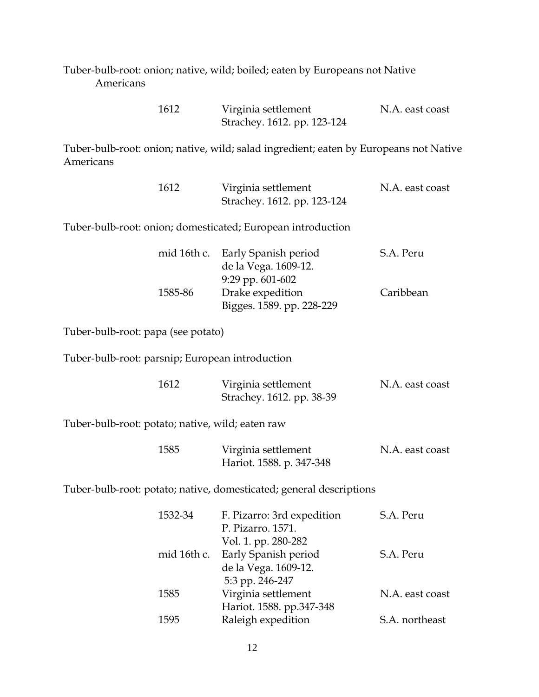Tuber-bulb-root: onion; native, wild; boiled; eaten by Europeans not Native Americans

| 1612 | Virginia settlement         | N.A. east coast |
|------|-----------------------------|-----------------|
|      | Strachey. 1612. pp. 123-124 |                 |

Tuber-bulb-root: onion; native, wild; salad ingredient; eaten by Europeans not Native Americans

| 1612 | Virginia settlement         | N.A. east coast |
|------|-----------------------------|-----------------|
|      | Strachey. 1612. pp. 123-124 |                 |

Tuber-bulb-root: onion; domesticated; European introduction

|         | mid 16th c. Early Spanish period | S.A. Peru |
|---------|----------------------------------|-----------|
|         | de la Vega. 1609-12.             |           |
|         | $9:29$ pp. 601-602               |           |
| 1585-86 | Drake expedition                 | Caribbean |
|         | Bigges. 1589. pp. 228-229        |           |

Tuber-bulb-root: papa (see potato)

Tuber-bulb-root: parsnip; European introduction

| 1612 | Virginia settlement       | N.A. east coast |
|------|---------------------------|-----------------|
|      | Strachey. 1612. pp. 38-39 |                 |

Tuber-bulb-root: potato; native, wild; eaten raw

| 1585 | Virginia settlement      | N.A. east coast |
|------|--------------------------|-----------------|
|      | Hariot. 1588. p. 347-348 |                 |

Tuber-bulb-root: potato; native, domesticated; general descriptions

| 1532-34     | F. Pizarro: 3rd expedition | S.A. Peru       |
|-------------|----------------------------|-----------------|
|             | P. Pizarro. 1571.          |                 |
|             | Vol. 1. pp. 280-282        |                 |
| mid 16th c. | Early Spanish period       | S.A. Peru       |
|             | de la Vega. 1609-12.       |                 |
|             | 5:3 pp. 246-247            |                 |
| 1585        | Virginia settlement        | N.A. east coast |
|             | Hariot. 1588. pp.347-348   |                 |
| 1595        | Raleigh expedition         | S.A. northeast  |
|             |                            |                 |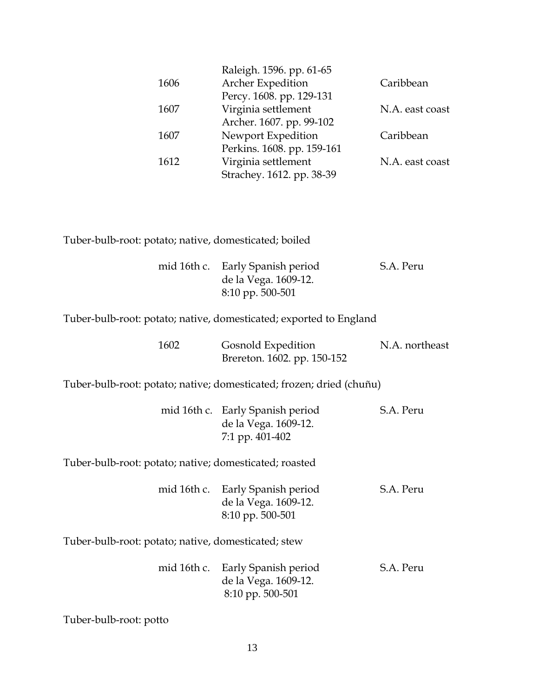|                                                       | Raleigh. 1596. pp. 61-65   |                 |
|-------------------------------------------------------|----------------------------|-----------------|
| 1606                                                  | <b>Archer Expedition</b>   | Caribbean       |
|                                                       | Percy. 1608. pp. 129-131   |                 |
| 1607                                                  | Virginia settlement        | N.A. east coast |
|                                                       | Archer. 1607. pp. 99-102   |                 |
| 1607                                                  | Newport Expedition         | Caribbean       |
|                                                       | Perkins. 1608. pp. 159-161 |                 |
| 1612                                                  | Virginia settlement        | N.A. east coast |
|                                                       | Strachey. 1612. pp. 38-39  |                 |
|                                                       |                            |                 |
|                                                       |                            |                 |
|                                                       |                            |                 |
|                                                       |                            |                 |
| Tuber-bulb-root: potato; native, domesticated; boiled |                            |                 |
|                                                       |                            |                 |
| mid 16th c.                                           | Early Spanish period       | S.A. Peru       |
|                                                       | de la Vega. 1609-12.       |                 |

Tuber-bulb-root: potato; native, domesticated; exported to England

| 1602 | Gosnold Expedition          | N.A. northeast |
|------|-----------------------------|----------------|
|      | Brereton. 1602. pp. 150-152 |                |

8:10 pp. 500-501

Tuber-bulb-root: potato; native; domesticated; frozen; dried (chuñu)

|  | mid 16th c. Early Spanish period | S.A. Peru |
|--|----------------------------------|-----------|
|  | de la Vega. 1609-12.             |           |
|  | 7:1 pp. 401-402                  |           |
|  |                                  |           |

Tuber-bulb-root: potato; native; domesticated; roasted

|  | mid 16th c. Early Spanish period | S.A. Peru |
|--|----------------------------------|-----------|
|  | de la Vega. 1609-12.             |           |
|  | $8:10$ pp. 500-501               |           |

Tuber-bulb-root: potato; native, domesticated; stew

|  | mid 16th c. Early Spanish period | S.A. Peru |
|--|----------------------------------|-----------|
|  | de la Vega. 1609-12.             |           |
|  | 8:10 pp. 500-501                 |           |

Tuber-bulb-root: potto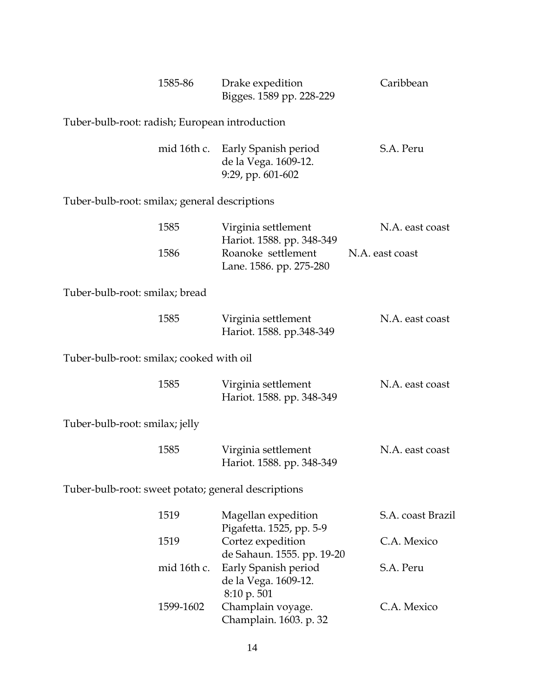|                                                     | 1585-86     | Drake expedition<br>Bigges. 1589 pp. 228-229                      | Caribbean         |
|-----------------------------------------------------|-------------|-------------------------------------------------------------------|-------------------|
| Tuber-bulb-root: radish; European introduction      |             |                                                                   |                   |
|                                                     | mid 16th c. | Early Spanish period<br>de la Vega. 1609-12.<br>9:29, pp. 601-602 | S.A. Peru         |
| Tuber-bulb-root: smilax; general descriptions       |             |                                                                   |                   |
|                                                     | 1585        | Virginia settlement<br>Hariot. 1588. pp. 348-349                  | N.A. east coast   |
|                                                     | 1586        | Roanoke settlement<br>Lane. 1586. pp. 275-280                     | N.A. east coast   |
| Tuber-bulb-root: smilax; bread                      |             |                                                                   |                   |
|                                                     | 1585        | Virginia settlement<br>Hariot. 1588. pp.348-349                   | N.A. east coast   |
| Tuber-bulb-root: smilax; cooked with oil            |             |                                                                   |                   |
|                                                     | 1585        | Virginia settlement<br>Hariot. 1588. pp. 348-349                  | N.A. east coast   |
| Tuber-bulb-root: smilax; jelly                      |             |                                                                   |                   |
|                                                     | 1585        | Virginia settlement<br>Hariot. 1588. pp. 348-349                  | N.A. east coast   |
| Tuber-bulb-root: sweet potato; general descriptions |             |                                                                   |                   |
|                                                     | 1519        | Magellan expedition<br>Pigafetta. 1525, pp. 5-9                   | S.A. coast Brazil |
|                                                     | 1519        | Cortez expedition<br>de Sahaun. 1555. pp. 19-20                   | C.A. Mexico       |
|                                                     | mid 16th c. | Early Spanish period<br>de la Vega. 1609-12.<br>8:10 p. 501       | S.A. Peru         |
|                                                     | 1599-1602   | Champlain voyage.<br>Champlain. 1603. p. 32                       | C.A. Mexico       |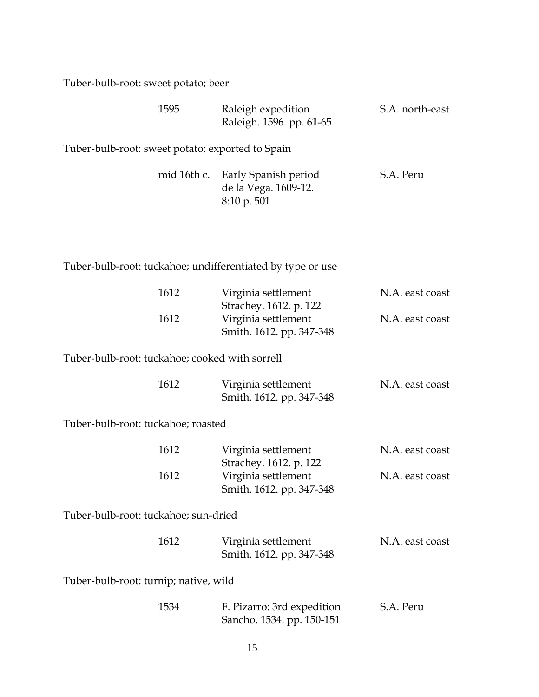Tuber-bulb-root: sweet potato; beer

| 1595                                             | Raleigh expedition<br>Raleigh. 1596. pp. 61-65                                     | S.A. north-east |
|--------------------------------------------------|------------------------------------------------------------------------------------|-----------------|
| Tuber-bulb-root: sweet potato; exported to Spain |                                                                                    |                 |
|                                                  | mid 16th c. Early Spanish period<br>de la Vega. 1609-12.<br>$8:10 \text{ p. } 501$ | S.A. Peru       |

Tuber-bulb-root: tuckahoe; undifferentiated by type or use

| 1612                                           | Virginia settlement<br>Strachey. 1612. p. 122           | N.A. east coast |
|------------------------------------------------|---------------------------------------------------------|-----------------|
| 1612                                           | Virginia settlement<br>Smith. 1612. pp. 347-348         | N.A. east coast |
| Tuber-bulb-root: tuckahoe; cooked with sorrell |                                                         |                 |
| 1612                                           | Virginia settlement<br>Smith. 1612. pp. 347-348         | N.A. east coast |
| Tuber-bulb-root: tuckahoe; roasted             |                                                         |                 |
| 1612                                           | Virginia settlement<br>Strachey. 1612. p. 122           | N.A. east coast |
| 1612                                           | Virginia settlement<br>Smith. 1612. pp. 347-348         | N.A. east coast |
| Tuber-bulb-root: tuckahoe; sun-dried           |                                                         |                 |
| 1612                                           | Virginia settlement<br>Smith. 1612. pp. 347-348         | N.A. east coast |
| Tuber-bulb-root: turnip; native, wild          |                                                         |                 |
| 1534                                           | F. Pizarro: 3rd expedition<br>Sancho. 1534. pp. 150-151 | S.A. Peru       |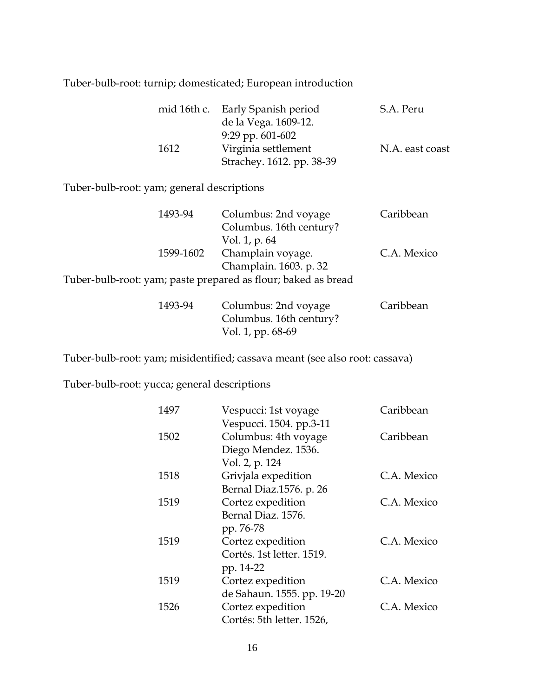## Tuber-bulb-root: turnip; domesticated; European introduction

|      | mid 16th c. Early Spanish period | S.A. Peru       |
|------|----------------------------------|-----------------|
|      | de la Vega. 1609-12.             |                 |
|      | 9:29 pp. $601-602$               |                 |
| 1612 | Virginia settlement              | N.A. east coast |
|      | Strachey. 1612. pp. 38-39        |                 |

Tuber-bulb-root: yam; general descriptions

| 1493-94                                                       | Columbus: 2nd voyage    | Caribbean   |
|---------------------------------------------------------------|-------------------------|-------------|
|                                                               | Columbus. 16th century? |             |
|                                                               | Vol. 1, p. 64           |             |
| 1599-1602                                                     | Champlain voyage.       | C.A. Mexico |
|                                                               | Champlain. 1603. p. 32  |             |
| Tuber-bulb-root: yam; paste prepared as flour; baked as bread |                         |             |
| 1493-94                                                       | Columbus: 2nd voyage    | Caribbean   |
|                                                               | Columbus. 16th century? |             |

Vol. 1, pp. 68-69

Tuber-bulb-root: yam; misidentified; cassava meant (see also root: cassava)

Tuber-bulb-root: yucca; general descriptions

| 1497 | Vespucci: 1st voyage       | Caribbean   |
|------|----------------------------|-------------|
|      | Vespucci. 1504. pp.3-11    |             |
| 1502 | Columbus: 4th voyage       | Caribbean   |
|      | Diego Mendez. 1536.        |             |
|      | Vol. 2, p. 124             |             |
| 1518 | Grivjala expedition        | C.A. Mexico |
|      | Bernal Diaz.1576. p. 26    |             |
| 1519 | Cortez expedition          | C.A. Mexico |
|      | Bernal Diaz. 1576.         |             |
|      | pp. 76-78                  |             |
| 1519 | Cortez expedition          | C.A. Mexico |
|      | Cortés. 1st letter. 1519.  |             |
|      | pp. 14-22                  |             |
| 1519 | Cortez expedition          | C.A. Mexico |
|      | de Sahaun. 1555. pp. 19-20 |             |
| 1526 | Cortez expedition          | C.A. Mexico |
|      | Cortés: 5th letter. 1526,  |             |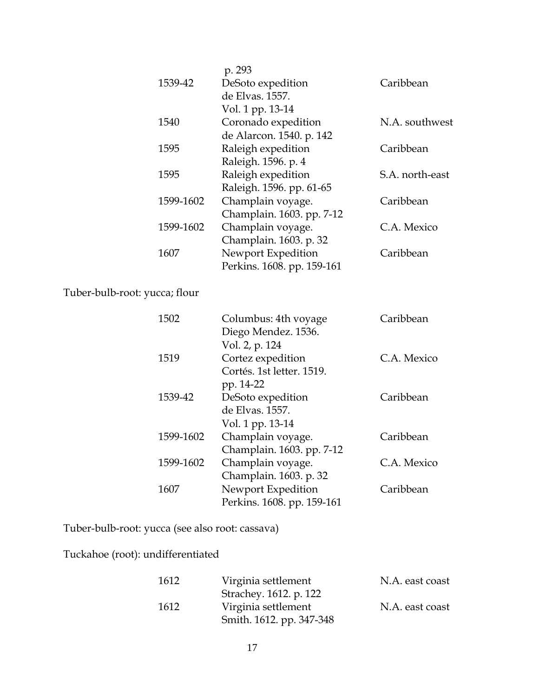|           | p. 293                     |                 |
|-----------|----------------------------|-----------------|
| 1539-42   | DeSoto expedition          | Caribbean       |
|           | de Elvas. 1557.            |                 |
|           | Vol. 1 pp. 13-14           |                 |
| 1540      | Coronado expedition        | N.A. southwest  |
|           | de Alarcon. 1540. p. 142   |                 |
| 1595      | Raleigh expedition         | Caribbean       |
|           | Raleigh. 1596. p. 4        |                 |
| 1595      | Raleigh expedition         | S.A. north-east |
|           | Raleigh. 1596. pp. 61-65   |                 |
| 1599-1602 | Champlain voyage.          | Caribbean       |
|           | Champlain. 1603. pp. 7-12  |                 |
| 1599-1602 | Champlain voyage.          | C.A. Mexico     |
|           | Champlain. 1603. p. 32     |                 |
| 1607      | Newport Expedition         | Caribbean       |
|           | Perkins. 1608. pp. 159-161 |                 |
|           |                            |                 |

Tuber-bulb-root: yucca; flour

| 1502      | Columbus: 4th voyage       | Caribbean   |
|-----------|----------------------------|-------------|
|           | Diego Mendez. 1536.        |             |
|           | Vol. 2, p. 124             |             |
| 1519      | Cortez expedition          | C.A. Mexico |
|           | Cortés. 1st letter. 1519.  |             |
|           | pp. 14-22                  |             |
| 1539-42   | DeSoto expedition          | Caribbean   |
|           | de Elvas. 1557.            |             |
|           | Vol. 1 pp. 13-14           |             |
| 1599-1602 | Champlain voyage.          | Caribbean   |
|           | Champlain. 1603. pp. 7-12  |             |
| 1599-1602 | Champlain voyage.          | C.A. Mexico |
|           | Champlain. 1603. p. 32     |             |
| 1607      | Newport Expedition         | Caribbean   |
|           | Perkins. 1608. pp. 159-161 |             |
|           |                            |             |

Tuber-bulb-root: yucca (see also root: cassava)

Tuckahoe (root): undifferentiated

| 1612 | Virginia settlement      | N.A. east coast |
|------|--------------------------|-----------------|
|      | Strachey. 1612. p. 122   |                 |
| 1612 | Virginia settlement      | N.A. east coast |
|      | Smith. 1612. pp. 347-348 |                 |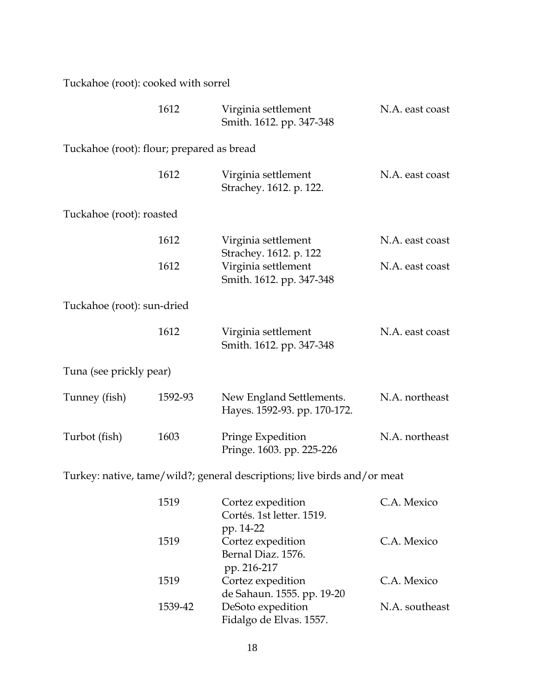Tuckahoe (root): cooked with sorrel

|                                           | 1612    | Virginia settlement<br>Smith. 1612. pp. 347-348                           | N.A. east coast |
|-------------------------------------------|---------|---------------------------------------------------------------------------|-----------------|
| Tuckahoe (root): flour; prepared as bread |         |                                                                           |                 |
|                                           | 1612    | Virginia settlement<br>Strachey. 1612. p. 122.                            | N.A. east coast |
| Tuckahoe (root): roasted                  |         |                                                                           |                 |
|                                           | 1612    | Virginia settlement                                                       | N.A. east coast |
|                                           | 1612    | Strachey. 1612. p. 122<br>Virginia settlement<br>Smith. 1612. pp. 347-348 | N.A. east coast |
| Tuckahoe (root): sun-dried                |         |                                                                           |                 |
|                                           | 1612    | Virginia settlement<br>Smith. 1612. pp. 347-348                           | N.A. east coast |
| Tuna (see prickly pear)                   |         |                                                                           |                 |
| Tunney (fish)                             | 1592-93 | New England Settlements.<br>Hayes. 1592-93. pp. 170-172.                  | N.A. northeast  |
| Turbot (fish)                             | 1603    | Pringe Expedition<br>Pringe. 1603. pp. 225-226                            | N.A. northeast  |
|                                           |         | Turkey: native, tame/wild?; general descriptions; live birds and/or meat  |                 |
|                                           | 1519    | Cortez expedition                                                         | C.A. Mexico     |

| 1519    | Cortez expedition          | C.A. Mexico    |
|---------|----------------------------|----------------|
|         | Cortés. 1st letter. 1519.  |                |
|         | pp. 14-22                  |                |
| 1519    | Cortez expedition          | C.A. Mexico    |
|         | Bernal Diaz. 1576.         |                |
|         | pp. 216-217                |                |
| 1519    | Cortez expedition          | C.A. Mexico    |
|         | de Sahaun. 1555. pp. 19-20 |                |
| 1539-42 | DeSoto expedition          | N.A. southeast |
|         | Fidalgo de Elvas. 1557.    |                |
|         |                            |                |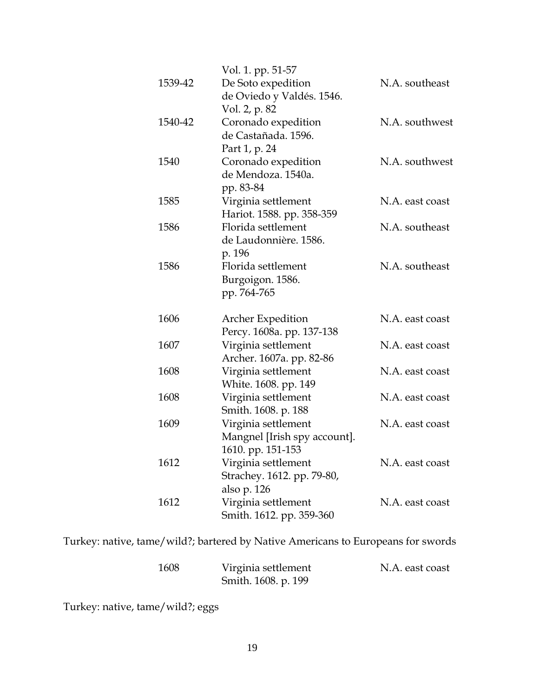|         | Vol. 1. pp. 51-57            |                 |
|---------|------------------------------|-----------------|
| 1539-42 | De Soto expedition           | N.A. southeast  |
|         | de Oviedo y Valdés. 1546.    |                 |
|         | Vol. 2, p. 82                |                 |
| 1540-42 | Coronado expedition          | N.A. southwest  |
|         | de Castañada. 1596.          |                 |
|         | Part 1, p. 24                |                 |
| 1540    | Coronado expedition          | N.A. southwest  |
|         | de Mendoza. 1540a.           |                 |
|         | pp. 83-84                    |                 |
| 1585    | Virginia settlement          | N.A. east coast |
|         | Hariot. 1588. pp. 358-359    |                 |
| 1586    | Florida settlement           | N.A. southeast  |
|         | de Laudonnière. 1586.        |                 |
|         | p. 196                       |                 |
| 1586    | Florida settlement           | N.A. southeast  |
|         | Burgoigon. 1586.             |                 |
|         | pp. 764-765                  |                 |
| 1606    | Archer Expedition            | N.A. east coast |
|         | Percy. 1608a. pp. 137-138    |                 |
| 1607    | Virginia settlement          | N.A. east coast |
|         | Archer. 1607a. pp. 82-86     |                 |
| 1608    | Virginia settlement          | N.A. east coast |
|         | White. 1608. pp. 149         |                 |
| 1608    | Virginia settlement          | N.A. east coast |
|         | Smith. 1608. p. 188          |                 |
| 1609    | Virginia settlement          | N.A. east coast |
|         | Mangnel [Irish spy account]. |                 |
|         | 1610. pp. 151-153            |                 |
| 1612    | Virginia settlement          | N.A. east coast |
|         | Strachey. 1612. pp. 79-80,   |                 |
|         | also p. 126                  |                 |
| 1612    | Virginia settlement          | N.A. east coast |
|         | Smith. 1612. pp. 359-360     |                 |

Turkey: native, tame/wild?; bartered by Native Americans to Europeans for swords

| 1608 | Virginia settlement | N.A. east coast |
|------|---------------------|-----------------|
|      | Smith. 1608. p. 199 |                 |

Turkey: native, tame/wild?; eggs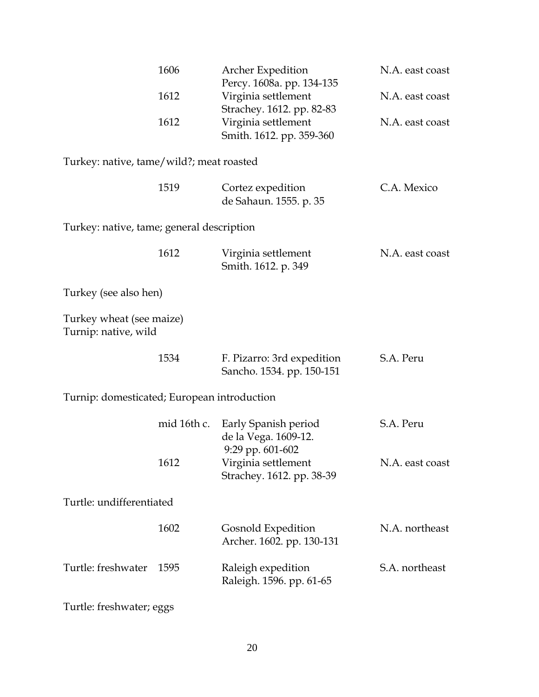| N.A. east coast |
|-----------------|
| N.A. east coast |
|                 |
| N.A. east coast |
|                 |
|                 |
| C.A. Mexico     |
|                 |
|                 |
| N.A. east coast |
|                 |
|                 |
|                 |
|                 |
|                 |
|                 |
|                 |
|                 |
|                 |
|                 |
| N.A. east coast |
|                 |
|                 |
| N.A. northeast  |
|                 |
| S.A. northeast  |
|                 |
|                 |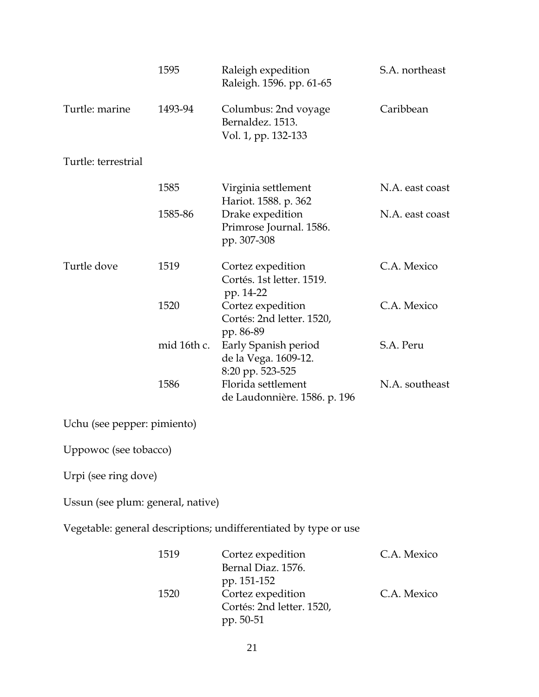|                                   | 1595        | Raleigh expedition<br>Raleigh. 1596. pp. 61-65                   | S.A. northeast  |
|-----------------------------------|-------------|------------------------------------------------------------------|-----------------|
| Turtle: marine                    | 1493-94     | Columbus: 2nd voyage<br>Bernaldez. 1513.<br>Vol. 1, pp. 132-133  | Caribbean       |
| Turtle: terrestrial               |             |                                                                  |                 |
|                                   | 1585        | Virginia settlement<br>Hariot. 1588. p. 362                      | N.A. east coast |
|                                   | 1585-86     | Drake expedition<br>Primrose Journal. 1586.<br>pp. 307-308       | N.A. east coast |
| Turtle dove                       | 1519        | Cortez expedition<br>Cortés. 1st letter. 1519.<br>pp. 14-22      | C.A. Mexico     |
|                                   | 1520        | Cortez expedition<br>Cortés: 2nd letter. 1520,<br>pp. 86-89      | C.A. Mexico     |
|                                   | mid 16th c. | Early Spanish period<br>de la Vega. 1609-12.<br>8:20 pp. 523-525 | S.A. Peru       |
|                                   | 1586        | Florida settlement<br>de Laudonnière. 1586. p. 196               | N.A. southeast  |
| Uchu (see pepper: pimiento)       |             |                                                                  |                 |
| Uppowoc (see tobacco)             |             |                                                                  |                 |
| Urpi (see ring dove)              |             |                                                                  |                 |
| Ussun (see plum: general, native) |             |                                                                  |                 |
|                                   |             | Vegetable: general descriptions; undifferentiated by type or use |                 |
|                                   | 1519        | Cortez expedition<br>Bernal Diaz. 1576.<br>pp. 151-152           | C.A. Mexico     |
|                                   | 1520        | Cortez expedition<br>Cortés: 2nd letter. 1520,<br>pp. 50-51      | C.A. Mexico     |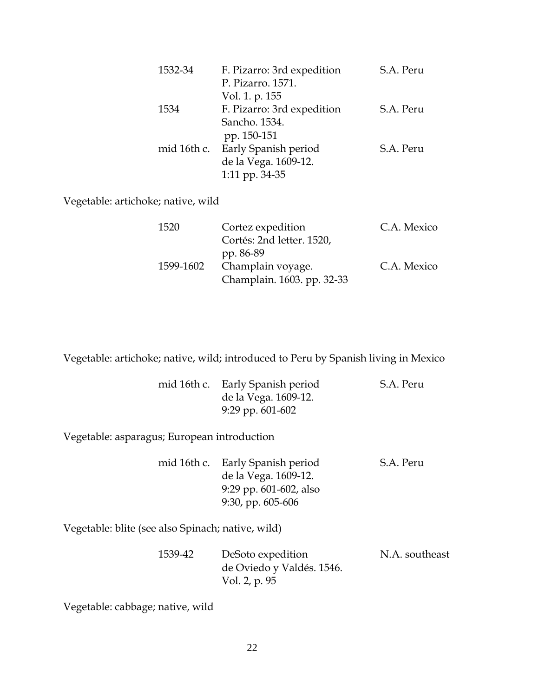| 1532-34 | F. Pizarro: 3rd expedition<br>P. Pizarro. 1571.<br>Vol. 1. p. 155          | S.A. Peru |
|---------|----------------------------------------------------------------------------|-----------|
| 1534    | F. Pizarro: 3rd expedition<br>Sancho. 1534.<br>pp. 150-151                 | S.A. Peru |
|         | mid 16th c. Early Spanish period<br>de la Vega. 1609-12.<br>1:11 pp. 34-35 | S.A. Peru |

Vegetable: artichoke; native, wild

| 1520      | Cortez expedition          | C.A. Mexico |
|-----------|----------------------------|-------------|
|           | Cortés: 2nd letter. 1520,  |             |
|           | pp. 86-89                  |             |
| 1599-1602 | Champlain voyage.          | C.A. Mexico |
|           | Champlain. 1603. pp. 32-33 |             |

Vegetable: artichoke; native, wild; introduced to Peru by Spanish living in Mexico

|  | mid 16th c. Early Spanish period | S.A. Peru |
|--|----------------------------------|-----------|
|  | de la Vega. 1609-12.             |           |
|  | 9:29 pp. $601-602$               |           |

Vegetable: asparagus; European introduction

|  | mid 16th c. Early Spanish period | S.A. Peru |
|--|----------------------------------|-----------|
|  | de la Vega. 1609-12.             |           |
|  | 9:29 pp. $601-602$ , also        |           |
|  | 9:30, pp. 605-606                |           |

Vegetable: blite (see also Spinach; native, wild)

| 1539-42 | DeSoto expedition         | N.A. southeast |
|---------|---------------------------|----------------|
|         | de Oviedo y Valdés. 1546. |                |
|         | Vol. 2, p. 95             |                |

Vegetable: cabbage; native, wild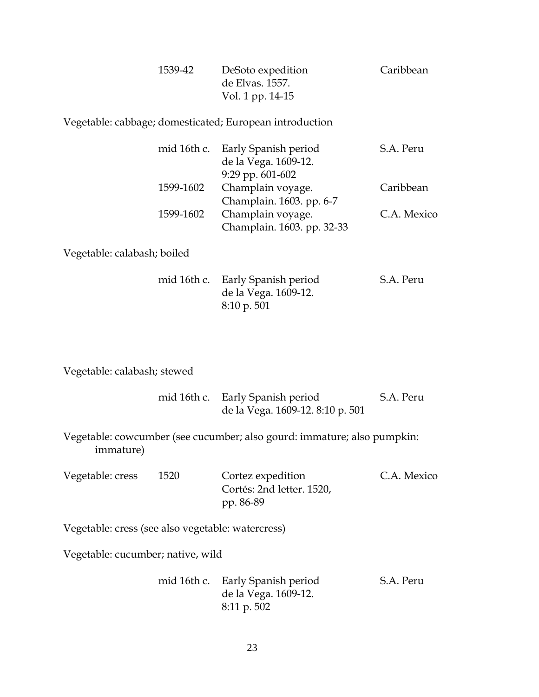| 1539-42 | DeSoto expedition | Caribbean |
|---------|-------------------|-----------|
|         | de Elvas. 1557.   |           |
|         | Vol. 1 pp. 14-15  |           |

Vegetable: cabbage; domesticated; European introduction

|           | mid 16th c. Early Spanish period | S.A. Peru   |
|-----------|----------------------------------|-------------|
|           | de la Vega. 1609-12.             |             |
|           | $9:29$ pp. $601-602$             |             |
| 1599-1602 | Champlain voyage.                | Caribbean   |
|           | Champlain. 1603. pp. 6-7         |             |
| 1599-1602 | Champlain voyage.                | C.A. Mexico |
|           | Champlain. 1603. pp. 32-33       |             |

Vegetable: calabash; boiled

|             | mid 16th c. Early Spanish period | S.A. Peru |
|-------------|----------------------------------|-----------|
|             | de la Vega. 1609-12.             |           |
| 8:10 p. 501 |                                  |           |

Vegetable: calabash; stewed

|  | mid 16th c. Early Spanish period | S.A. Peru |
|--|----------------------------------|-----------|
|  | de la Vega. 1609-12. 8:10 p. 501 |           |

Vegetable: cowcumber (see cucumber; also gourd: immature; also pumpkin: immature)

| Vegetable: cress | 1520 | Cortez expedition         | C.A. Mexico |
|------------------|------|---------------------------|-------------|
|                  |      | Cortés: 2nd letter. 1520, |             |
|                  |      | pp. 86-89                 |             |

Vegetable: cress (see also vegetable: watercress)

Vegetable: cucumber; native, wild

 mid 16th c. Early Spanish period S.A. Peru de la Vega. 1609-12. 8:11 p. 502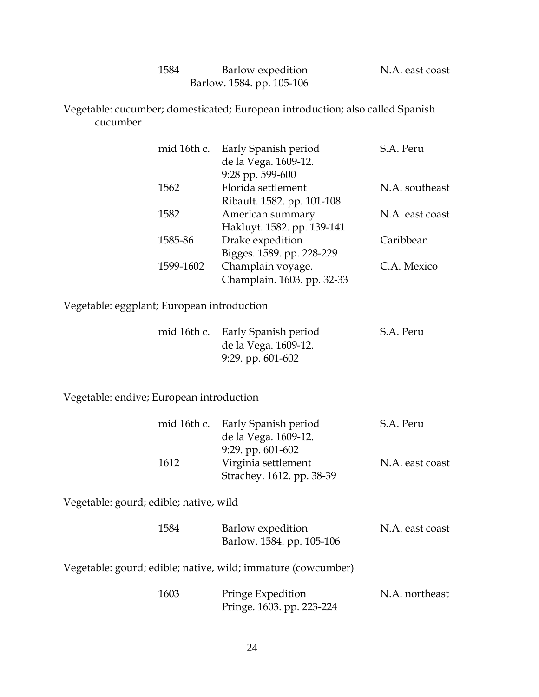| N.A. east coast | Barlow expedition         | 1584 |
|-----------------|---------------------------|------|
|                 | Barlow. 1584. pp. 105-106 |      |

Vegetable: cucumber; domesticated; European introduction; also called Spanish cucumber

| mid 16th c. | Early Spanish period       | S.A. Peru       |
|-------------|----------------------------|-----------------|
|             | de la Vega. 1609-12.       |                 |
|             | 9:28 pp. 599-600           |                 |
| 1562        | Florida settlement         | N.A. southeast  |
|             | Ribault. 1582. pp. 101-108 |                 |
| 1582        | American summary           | N.A. east coast |
|             | Hakluyt. 1582. pp. 139-141 |                 |
| 1585-86     | Drake expedition           | Caribbean       |
|             | Bigges. 1589. pp. 228-229  |                 |
| 1599-1602   | Champlain voyage.          | C.A. Mexico     |
|             | Champlain. 1603. pp. 32-33 |                 |
|             |                            |                 |

Vegetable: eggplant; European introduction

|  | mid 16th c. Early Spanish period | S.A. Peru |
|--|----------------------------------|-----------|
|  | de la Vega. 1609-12.             |           |
|  | 9:29. pp. 601-602                |           |

Vegetable: endive; European introduction

|      | mid 16th c. Early Spanish period | S.A. Peru       |
|------|----------------------------------|-----------------|
|      | de la Vega. 1609-12.             |                 |
|      | 9:29. pp. $601-602$              |                 |
| 1612 | Virginia settlement              | N.A. east coast |
|      | Strachey. 1612. pp. 38-39        |                 |

Vegetable: gourd; edible; native, wild

| 1584 | Barlow expedition         | N.A. east coast |
|------|---------------------------|-----------------|
|      | Barlow. 1584. pp. 105-106 |                 |

Vegetable: gourd; edible; native, wild; immature (cowcumber)

| 1603 | Pringe Expedition         | N.A. northeast |
|------|---------------------------|----------------|
|      | Pringe. 1603. pp. 223-224 |                |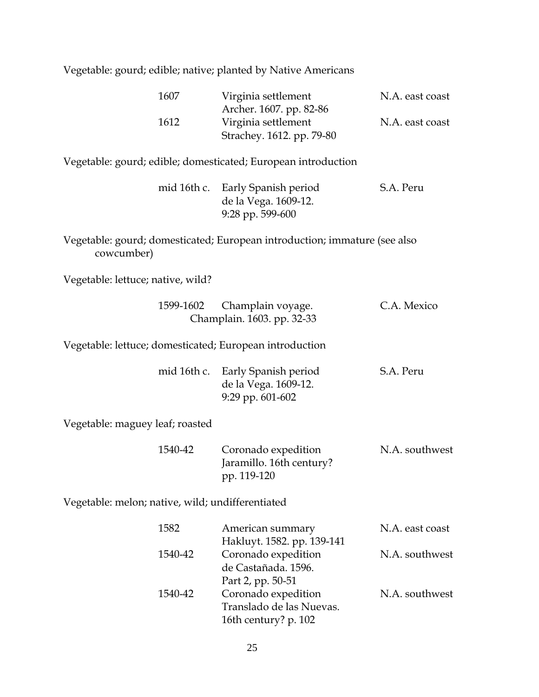Vegetable: gourd; edible; native; planted by Native Americans

| 1607 | Virginia settlement       | N.A. east coast |
|------|---------------------------|-----------------|
|      | Archer. 1607. pp. 82-86   |                 |
| 1612 | Virginia settlement       | N.A. east coast |
|      | Strachey. 1612. pp. 79-80 |                 |

Vegetable: gourd; edible; domesticated; European introduction

|  | mid 16th c. Early Spanish period | S.A. Peru |
|--|----------------------------------|-----------|
|  | de la Vega. 1609-12.             |           |
|  | $9:28$ pp. 599-600               |           |

Vegetable: gourd; domesticated; European introduction; immature (see also cowcumber)

Vegetable: lettuce; native, wild?

|                                                         | 1599-1602 Champlain voyage.<br>Champlain. 1603. pp. 32-33                        | C.A. Mexico |
|---------------------------------------------------------|----------------------------------------------------------------------------------|-------------|
| Vegetable: lettuce; domesticated; European introduction |                                                                                  |             |
|                                                         | mid 16th c. Early Spanish period<br>de la Vega. 1609-12.<br>$9:29$ pp. $601-602$ | S.A. Peru   |
| Vegetable: maguey leaf: roasted                         |                                                                                  |             |

Vegetable: maguey leaf;

| 1540-42 |             | Coronado expedition      | N.A. southwest |
|---------|-------------|--------------------------|----------------|
|         |             | Jaramillo. 16th century? |                |
|         | pp. 119-120 |                          |                |

Vegetable: melon; native, wild; undifferentiated

| 1582    | American summary           | N.A. east coast |
|---------|----------------------------|-----------------|
|         | Hakluyt. 1582. pp. 139-141 |                 |
| 1540-42 | Coronado expedition        | N.A. southwest  |
|         | de Castañada. 1596.        |                 |
|         | Part 2, pp. 50-51          |                 |
| 1540-42 | Coronado expedition        | N.A. southwest  |
|         | Translado de las Nuevas.   |                 |
|         | 16th century? p. 102       |                 |
|         |                            |                 |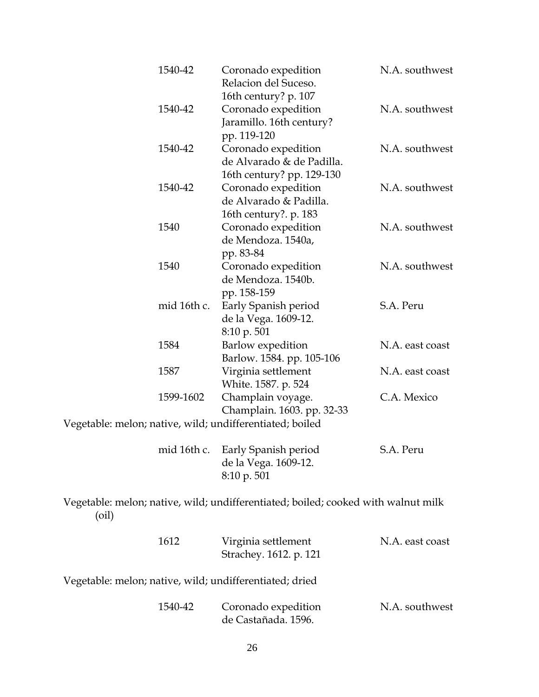| 1540-42                                                  | Coronado expedition<br>Relacion del Suceso.<br>16th century? p. 107           | N.A. southwest  |
|----------------------------------------------------------|-------------------------------------------------------------------------------|-----------------|
| 1540-42                                                  | Coronado expedition<br>Jaramillo. 16th century?<br>pp. 119-120                | N.A. southwest  |
| 1540-42                                                  | Coronado expedition<br>de Alvarado & de Padilla.<br>16th century? pp. 129-130 | N.A. southwest  |
| 1540-42                                                  | Coronado expedition<br>de Alvarado & Padilla.<br>16th century?. p. 183        | N.A. southwest  |
| 1540                                                     | Coronado expedition<br>de Mendoza. 1540a,<br>pp. 83-84                        | N.A. southwest  |
| 1540                                                     | Coronado expedition<br>de Mendoza. 1540b.<br>pp. 158-159                      | N.A. southwest  |
| mid 16th c.                                              | Early Spanish period<br>de la Vega. 1609-12.<br>8:10 p. 501                   | S.A. Peru       |
| 1584                                                     | Barlow expedition<br>Barlow. 1584. pp. 105-106                                | N.A. east coast |
| 1587                                                     | Virginia settlement<br>White. 1587. p. 524                                    | N.A. east coast |
| 1599-1602                                                | Champlain voyage.<br>Champlain. 1603. pp. 32-33                               | C.A. Mexico     |
| Vegetable: melon; native, wild; undifferentiated; boiled |                                                                               |                 |
| mid 16th c.                                              | Early Spanish period                                                          | S.A. Peru       |

| de la Vega. 1609-12.   |
|------------------------|
| $8:10 \text{ p. } 501$ |

Vegetable: melon; native, wild; undifferentiated; boiled; cooked with walnut milk (oil)

| 1612                                                    | Virginia settlement<br>Strachey. 1612. p. 121 | N.A. east coast |
|---------------------------------------------------------|-----------------------------------------------|-----------------|
| Vegetable: melon; native, wild; undifferentiated; dried |                                               |                 |
| 1540-42                                                 | Coronado expedition<br>de Castañada. 1596.    | N.A. southwest  |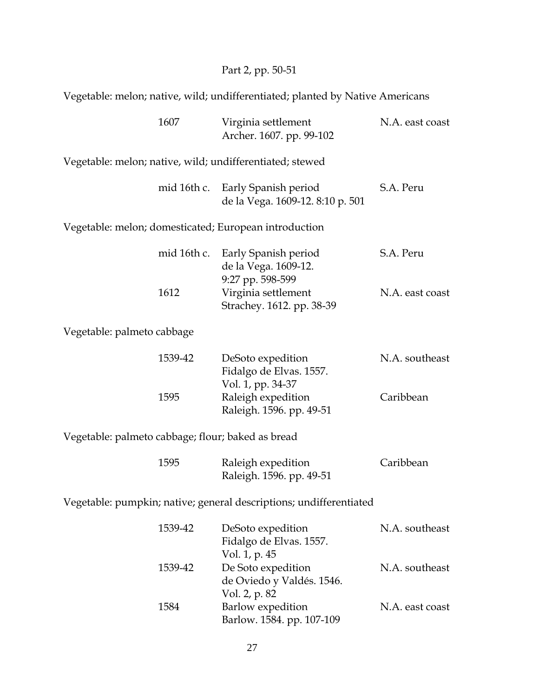## Part 2, pp. 50-51

Vegetable: melon; native, wild; undifferentiated; planted by Native Americans

|                                                                    | 1607        | Virginia settlement<br>Archer. 1607. pp. 99-102                      | N.A. east coast |  |
|--------------------------------------------------------------------|-------------|----------------------------------------------------------------------|-----------------|--|
|                                                                    |             | Vegetable: melon; native, wild; undifferentiated; stewed             |                 |  |
|                                                                    | mid 16th c. | Early Spanish period<br>de la Vega. 1609-12. 8:10 p. 501             | S.A. Peru       |  |
|                                                                    |             | Vegetable: melon; domesticated; European introduction                |                 |  |
|                                                                    |             | mid 16th c. Early Spanish period<br>de la Vega. 1609-12.             | S.A. Peru       |  |
|                                                                    | 1612        | 9:27 pp. 598-599<br>Virginia settlement<br>Strachey. 1612. pp. 38-39 | N.A. east coast |  |
| Vegetable: palmeto cabbage                                         |             |                                                                      |                 |  |
|                                                                    | 1539-42     | DeSoto expedition<br>Fidalgo de Elvas. 1557.<br>Vol. 1, pp. 34-37    | N.A. southeast  |  |
|                                                                    | 1595        | Raleigh expedition<br>Raleigh. 1596. pp. 49-51                       | Caribbean       |  |
| Vegetable: palmeto cabbage; flour; baked as bread                  |             |                                                                      |                 |  |
|                                                                    | 1595        | Raleigh expedition<br>Raleigh. 1596. pp. 49-51                       | Caribbean       |  |
| Vegetable: pumpkin; native; general descriptions; undifferentiated |             |                                                                      |                 |  |
|                                                                    | 1539-42     | DeSoto expedition<br>Fidalgo de Elvas. 1557.<br>Vol. 1, p. 45        | N.A. southeast  |  |
|                                                                    | 1539-42     | De Soto expedition<br>de Oviedo y Valdés. 1546.<br>Vol. 2, p. 82     | N.A. southeast  |  |
|                                                                    | 1584        | Barlow expedition<br>Barlow. 1584. pp. 107-109                       | N.A. east coast |  |
|                                                                    |             |                                                                      |                 |  |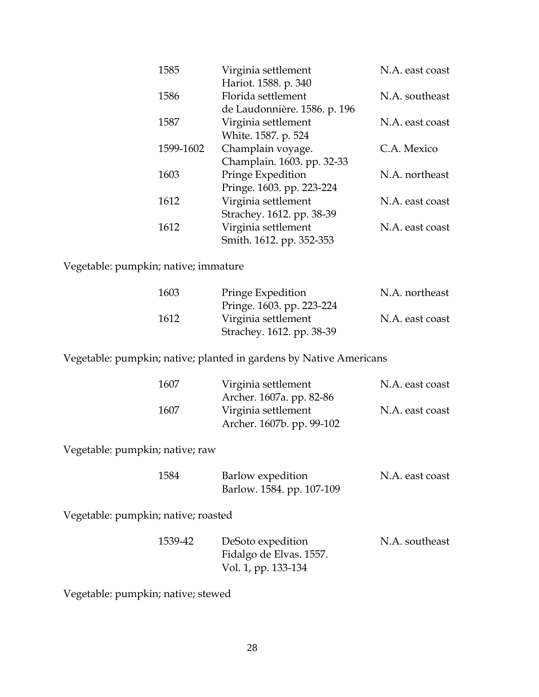| 1585      | Virginia settlement          | N.A. east coast |
|-----------|------------------------------|-----------------|
|           | Hariot. 1588. p. 340         |                 |
| 1586      | Florida settlement           | N.A. southeast  |
|           | de Laudonnière. 1586. p. 196 |                 |
| 1587      | Virginia settlement          | N.A. east coast |
|           | White. 1587. p. 524          |                 |
| 1599-1602 | Champlain voyage.            | C.A. Mexico     |
|           | Champlain. 1603. pp. 32-33   |                 |
| 1603      | Pringe Expedition            | N.A. northeast  |
|           | Pringe. 1603. pp. 223-224    |                 |
| 1612      | Virginia settlement          | N.A. east coast |
|           | Strachey. 1612. pp. 38-39    |                 |
| 1612      | Virginia settlement          | N.A. east coast |
|           | Smith. 1612. pp. 352-353     |                 |

Vegetable: pumpkin; native; immature

| 1603 | Pringe Expedition         | N.A. northeast  |
|------|---------------------------|-----------------|
|      | Pringe. 1603. pp. 223-224 |                 |
| 1612 | Virginia settlement       | N.A. east coast |
|      | Strachey. 1612. pp. 38-39 |                 |

Vegetable: pumpkin; native; planted in gardens by Native Americans

| 1607 | Virginia settlement       | N.A. east coast |
|------|---------------------------|-----------------|
|      | Archer. 1607a. pp. 82-86  |                 |
| 1607 | Virginia settlement       | N.A. east coast |
|      | Archer. 1607b. pp. 99-102 |                 |

Vegetable: pumpkin; native; raw

| 1584 | Barlow expedition         | N.A. east coast |
|------|---------------------------|-----------------|
|      | Barlow. 1584. pp. 107-109 |                 |

Vegetable: pumpkin; native; roasted

| 1539-42 | DeSoto expedition       | N.A. southeast |
|---------|-------------------------|----------------|
|         | Fidalgo de Elvas. 1557. |                |
|         | Vol. 1, pp. 133-134     |                |

Vegetable: pumpkin; native; stewed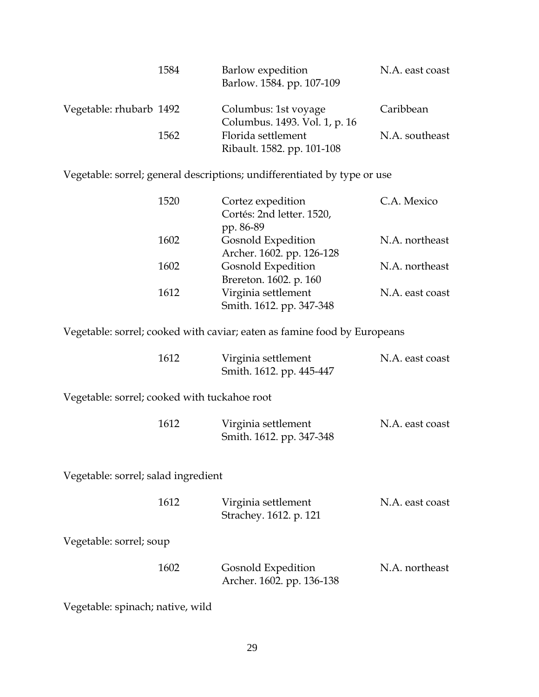|                         | 1584 | Barlow expedition<br>Barlow. 1584. pp. 107-109        | N.A. east coast |
|-------------------------|------|-------------------------------------------------------|-----------------|
| Vegetable: rhubarb 1492 |      | Columbus: 1st voyage<br>Columbus. 1493. Vol. 1, p. 16 | Caribbean       |
|                         | 1562 | Florida settlement<br>Ribault. 1582. pp. 101-108      | N.A. southeast  |

Vegetable: sorrel; general descriptions; undifferentiated by type or use

| 1520                                         | Cortez expedition<br>Cortés: 2nd letter. 1520,<br>pp. 86-89              | C.A. Mexico     |
|----------------------------------------------|--------------------------------------------------------------------------|-----------------|
| 1602                                         | Gosnold Expedition<br>Archer. 1602. pp. 126-128                          | N.A. northeast  |
| 1602                                         | <b>Gosnold Expedition</b><br>Brereton. 1602. p. 160                      | N.A. northeast  |
| 1612                                         | Virginia settlement<br>Smith. 1612. pp. 347-348                          | N.A. east coast |
|                                              | Vegetable: sorrel; cooked with caviar; eaten as famine food by Europeans |                 |
| 1612                                         | Virginia settlement<br>Smith. 1612. pp. 445-447                          | N.A. east coast |
| Vegetable: sorrel; cooked with tuckahoe root |                                                                          |                 |
| 1612                                         |                                                                          |                 |

Vegetable: sorrel; salad ingredient

| 1612                    | Virginia settlement<br>Strachey. 1612. p. 121   | N.A. east coast |
|-------------------------|-------------------------------------------------|-----------------|
| Vegetable: sorrel; soup |                                                 |                 |
| 1602                    | Gosnold Expedition<br>Archer. 1602. pp. 136-138 | N.A. northeast  |

Vegetable: spinach; native, wild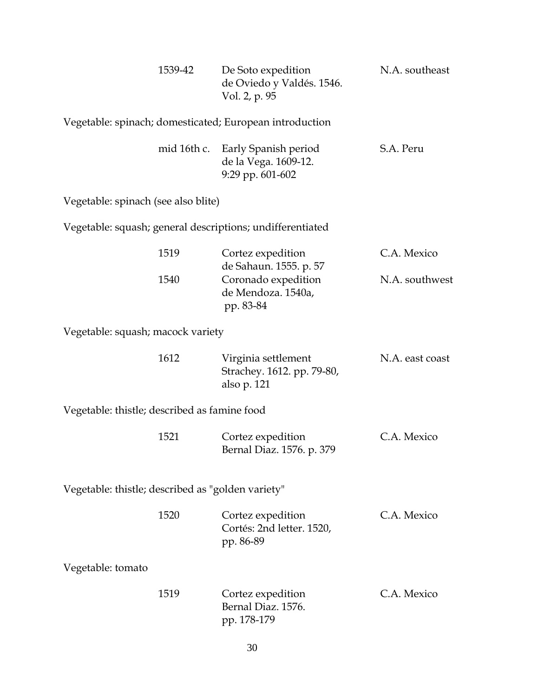|                                                   | 1539-42     | De Soto expedition<br>de Oviedo y Valdés. 1546.<br>Vol. 2, p. 95                 | N.A. southeast  |
|---------------------------------------------------|-------------|----------------------------------------------------------------------------------|-----------------|
|                                                   |             | Vegetable: spinach; domesticated; European introduction                          |                 |
|                                                   | mid 16th c. | Early Spanish period<br>de la Vega. 1609-12.<br>9:29 pp. 601-602                 | S.A. Peru       |
| Vegetable: spinach (see also blite)               |             |                                                                                  |                 |
|                                                   |             | Vegetable: squash; general descriptions; undifferentiated                        |                 |
|                                                   | 1519        | Cortez expedition                                                                | C.A. Mexico     |
|                                                   | 1540        | de Sahaun. 1555. p. 57<br>Coronado expedition<br>de Mendoza. 1540a,<br>pp. 83-84 | N.A. southwest  |
| Vegetable: squash; macock variety                 |             |                                                                                  |                 |
|                                                   | 1612        | Virginia settlement<br>Strachey. 1612. pp. 79-80,<br>also p. 121                 | N.A. east coast |
| Vegetable: thistle; described as famine food      |             |                                                                                  |                 |
|                                                   | 1521        | Cortez expedition<br>Bernal Diaz. 1576. p. 379                                   | C.A. Mexico     |
| Vegetable: thistle; described as "golden variety" |             |                                                                                  |                 |
|                                                   | 1520        | Cortez expedition<br>Cortés: 2nd letter. 1520,<br>pp. 86-89                      | C.A. Mexico     |
| Vegetable: tomato                                 |             |                                                                                  |                 |
|                                                   | 1519        | Cortez expedition<br>Bernal Diaz. 1576.<br>pp. 178-179                           | C.A. Mexico     |
|                                                   |             | 30                                                                               |                 |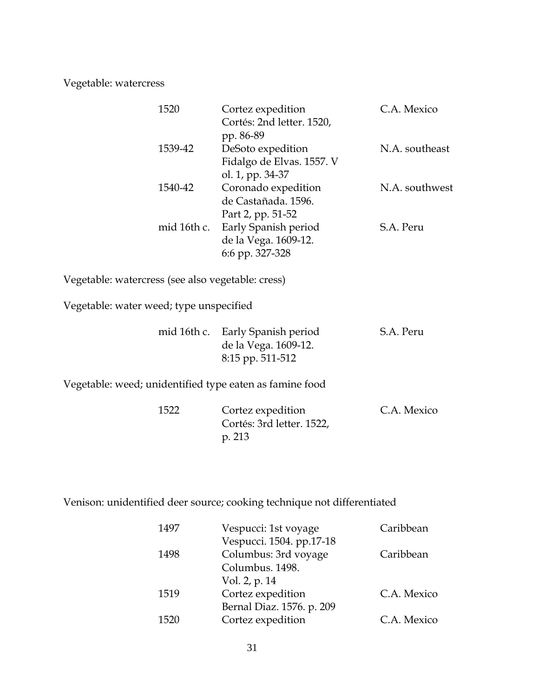Vegetable: watercress

| 1520        | Cortez expedition<br>Cortés: 2nd letter. 1520,<br>pp. 86-89        | C.A. Mexico    |
|-------------|--------------------------------------------------------------------|----------------|
| 1539-42     | DeSoto expedition<br>Fidalgo de Elvas. 1557. V<br>ol. 1, pp. 34-37 | N.A. southeast |
| 1540-42     | Coronado expedition<br>de Castañada, 1596.<br>Part 2, pp. 51-52    | N.A. southwest |
| mid 16th c. | Early Spanish period<br>de la Vega. 1609-12.<br>6:6 pp. 327-328    | S.A. Peru      |

Vegetable: watercress (see also vegetable: cress)

Vegetable: water weed; type unspecified

|  | mid 16th c. Early Spanish period | S.A. Peru |
|--|----------------------------------|-----------|
|  | de la Vega. 1609-12.             |           |
|  | 8:15 pp. 511-512                 |           |

Vegetable: weed; unidentified type eaten as famine food

| 1522 | Cortez expedition         | C.A. Mexico |
|------|---------------------------|-------------|
|      | Cortés: 3rd letter. 1522, |             |
|      | p. 213                    |             |

Venison: unidentified deer source; cooking technique not differentiated

| 1497 | Vespucci: 1st voyage      | Caribbean   |
|------|---------------------------|-------------|
|      | Vespucci. 1504. pp.17-18  |             |
| 1498 | Columbus: 3rd voyage      | Caribbean   |
|      | Columbus. 1498.           |             |
|      | Vol. 2, p. 14             |             |
| 1519 | Cortez expedition         | C.A. Mexico |
|      | Bernal Diaz. 1576. p. 209 |             |
| 1520 | Cortez expedition         | C.A. Mexico |
|      |                           |             |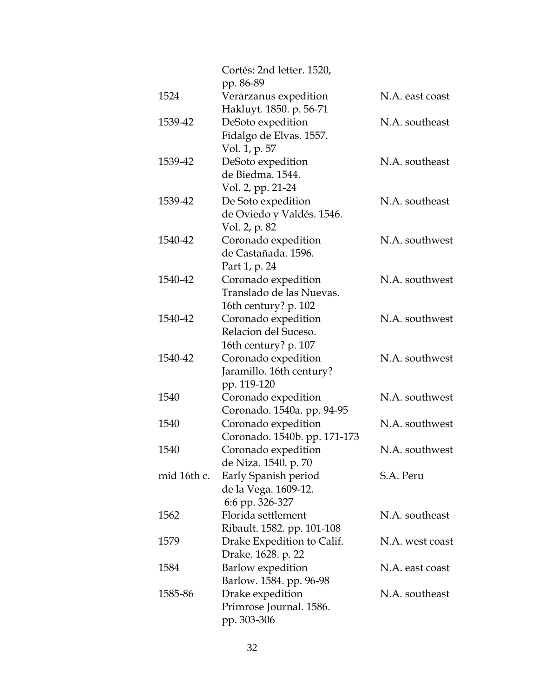|             | Cortés: 2nd letter. 1520,<br>pp. 86-89 |                 |
|-------------|----------------------------------------|-----------------|
| 1524        | Verarzanus expedition                  | N.A. east coast |
|             | Hakluyt. 1850. p. 56-71                |                 |
| 1539-42     | DeSoto expedition                      | N.A. southeast  |
|             | Fidalgo de Elvas. 1557.                |                 |
|             | Vol. 1, p. 57                          |                 |
| 1539-42     | DeSoto expedition                      | N.A. southeast  |
|             | de Biedma. 1544.                       |                 |
|             | Vol. 2, pp. 21-24                      |                 |
| 1539-42     | De Soto expedition                     | N.A. southeast  |
|             | de Oviedo y Valdés. 1546.              |                 |
|             | Vol. 2, p. 82                          |                 |
| 1540-42     | Coronado expedition                    | N.A. southwest  |
|             | de Castañada. 1596.                    |                 |
|             | Part 1, p. 24                          |                 |
| 1540-42     | Coronado expedition                    | N.A. southwest  |
|             | Translado de las Nuevas.               |                 |
|             | 16th century? p. 102                   |                 |
| 1540-42     | Coronado expedition                    | N.A. southwest  |
|             | Relacion del Suceso.                   |                 |
|             | 16th century? p. 107                   |                 |
| 1540-42     | Coronado expedition                    | N.A. southwest  |
|             | Jaramillo. 16th century?               |                 |
|             | pp. 119-120                            |                 |
| 1540        | Coronado expedition                    | N.A. southwest  |
|             | Coronado. 1540a. pp. 94-95             |                 |
| 1540        | Coronado expedition                    | N.A. southwest  |
|             | Coronado. 1540b. pp. 171-173           |                 |
| 1540        | Coronado expedition                    | N.A. southwest  |
|             | de Niza. 1540. p. 70                   |                 |
| mid 16th c. | Early Spanish period                   | S.A. Peru       |
|             | de la Vega. 1609-12.                   |                 |
|             | 6:6 pp. 326-327                        |                 |
| 1562        | Florida settlement                     | N.A. southeast  |
|             | Ribault. 1582. pp. 101-108             |                 |
| 1579        | Drake Expedition to Calif.             | N.A. west coast |
|             | Drake. 1628. p. 22                     |                 |
| 1584        | Barlow expedition                      | N.A. east coast |
|             | Barlow. 1584. pp. 96-98                |                 |
| 1585-86     | Drake expedition                       | N.A. southeast  |
|             | Primrose Journal. 1586.                |                 |
|             | pp. 303-306                            |                 |
|             |                                        |                 |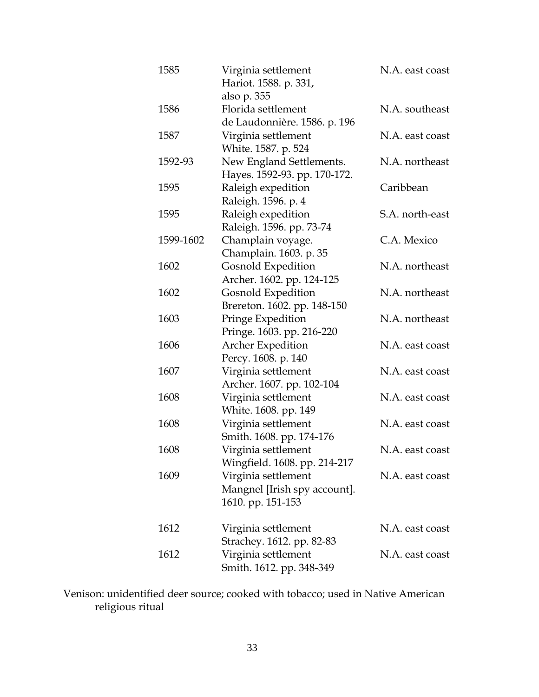| 1585      | Virginia settlement<br>Hariot. 1588. p. 331,                             | N.A. east coast |
|-----------|--------------------------------------------------------------------------|-----------------|
| 1586      | also p. 355<br>Florida settlement<br>de Laudonnière. 1586. p. 196        | N.A. southeast  |
| 1587      | Virginia settlement<br>White. 1587. p. 524                               | N.A. east coast |
| 1592-93   | New England Settlements.<br>Hayes. 1592-93. pp. 170-172.                 | N.A. northeast  |
| 1595      | Raleigh expedition<br>Raleigh. 1596. p. 4                                | Caribbean       |
| 1595      | Raleigh expedition<br>Raleigh. 1596. pp. 73-74                           | S.A. north-east |
| 1599-1602 | Champlain voyage.<br>Champlain. 1603. p. 35                              | C.A. Mexico     |
| 1602      | <b>Gosnold Expedition</b><br>Archer. 1602. pp. 124-125                   | N.A. northeast  |
| 1602      | <b>Gosnold Expedition</b><br>Brereton. 1602. pp. 148-150                 | N.A. northeast  |
| 1603      | Pringe Expedition<br>Pringe. 1603. pp. 216-220                           | N.A. northeast  |
| 1606      | <b>Archer Expedition</b><br>Percy. 1608. p. 140                          | N.A. east coast |
| 1607      | Virginia settlement<br>Archer. 1607. pp. 102-104                         | N.A. east coast |
| 1608      | Virginia settlement<br>White. 1608. pp. 149                              | N.A. east coast |
| 1608      | Virginia settlement<br>Smith. 1608. pp. 174-176                          | N.A. east coast |
| 1608      | Virginia settlement<br>Wingfield. 1608. pp. 214-217                      | N.A. east coast |
| 1609      | Virginia settlement<br>Mangnel [Irish spy account].<br>1610. pp. 151-153 | N.A. east coast |
| 1612      | Virginia settlement<br>Strachey. 1612. pp. 82-83                         | N.A. east coast |
| 1612      | Virginia settlement<br>Smith. 1612. pp. 348-349                          | N.A. east coast |

Venison: unidentified deer source; cooked with tobacco; used in Native American religious ritual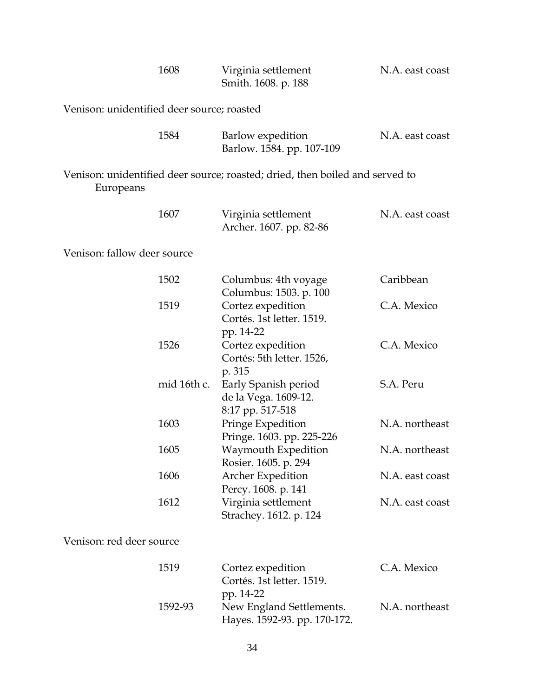|                                            | 1608        | Virginia settlement<br>Smith. 1608. p. 188                                   | N.A. east coast |  |
|--------------------------------------------|-------------|------------------------------------------------------------------------------|-----------------|--|
| Venison: unidentified deer source; roasted |             |                                                                              |                 |  |
|                                            | 1584        | Barlow expedition<br>Barlow. 1584. pp. 107-109                               | N.A. east coast |  |
| Europeans                                  |             | Venison: unidentified deer source; roasted; dried, then boiled and served to |                 |  |
|                                            | 1607        | Virginia settlement<br>Archer. 1607. pp. 82-86                               | N.A. east coast |  |
| Venison: fallow deer source                |             |                                                                              |                 |  |
|                                            | 1502        | Columbus: 4th voyage<br>Columbus: 1503. p. 100                               | Caribbean       |  |
|                                            | 1519        | Cortez expedition<br>Cortés. 1st letter. 1519.<br>pp. 14-22                  | C.A. Mexico     |  |
|                                            | 1526        | Cortez expedition<br>Cortés: 5th letter. 1526,<br>p. 315                     | C.A. Mexico     |  |
|                                            | mid 16th c. | Early Spanish period<br>de la Vega. 1609-12.<br>8:17 pp. 517-518             | S.A. Peru       |  |
|                                            | 1603        | Pringe Expedition<br>Pringe. 1603. pp. 225-226                               | N.A. northeast  |  |
|                                            | 1605        | Waymouth Expedition<br>Rosier. 1605. p. 294                                  | N.A. northeast  |  |
|                                            | 1606        | <b>Archer Expedition</b><br>Percy. 1608. p. 141                              | N.A. east coast |  |
|                                            | 1612        | Virginia settlement<br>Strachey. 1612. p. 124                                | N.A. east coast |  |
| Venison: red deer source                   |             |                                                                              |                 |  |
|                                            | 1519        | Cortez expedition<br>Cortés. 1st letter. 1519.<br>pp. 14-22                  | C.A. Mexico     |  |
|                                            | 1592-93     | New England Settlements.<br>Hayes. 1592-93. pp. 170-172.                     | N.A. northeast  |  |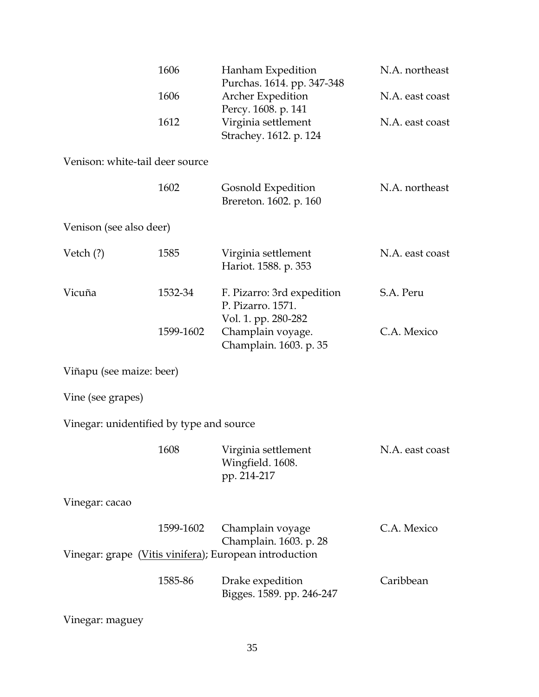|                                          | 1606      | Hanham Expedition<br>Purchas. 1614. pp. 347-348                      | N.A. northeast  |
|------------------------------------------|-----------|----------------------------------------------------------------------|-----------------|
|                                          | 1606      | Archer Expedition                                                    | N.A. east coast |
|                                          | 1612      | Percy. 1608. p. 141<br>Virginia settlement<br>Strachey. 1612. p. 124 | N.A. east coast |
| Venison: white-tail deer source          |           |                                                                      |                 |
|                                          | 1602      | Gosnold Expedition<br>Brereton. 1602. p. 160                         | N.A. northeast  |
| Venison (see also deer)                  |           |                                                                      |                 |
| Vetch $(?)$                              | 1585      | Virginia settlement<br>Hariot. 1588. p. 353                          | N.A. east coast |
| Vicuña                                   | 1532-34   | F. Pizarro: 3rd expedition<br>P. Pizarro. 1571.                      | S.A. Peru       |
|                                          | 1599-1602 | Vol. 1. pp. 280-282<br>Champlain voyage.<br>Champlain. 1603. p. 35   | C.A. Mexico     |
| Viñapu (see maize: beer)                 |           |                                                                      |                 |
| Vine (see grapes)                        |           |                                                                      |                 |
| Vinegar: unidentified by type and source |           |                                                                      |                 |
|                                          | 1608      | Virginia settlement<br>Wingfield. 1608.<br>pp. 214-217               | N.A. east coast |
| Vinegar: cacao                           |           |                                                                      |                 |
|                                          | 1599-1602 | Champlain voyage<br>Champlain. 1603. p. 28                           | C.A. Mexico     |
|                                          |           | Vinegar: grape (Vitis vinifera); European introduction               |                 |
|                                          | 1585-86   | Drake expedition<br>Bigges. 1589. pp. 246-247                        | Caribbean       |
| Vinegar: maguey                          |           |                                                                      |                 |